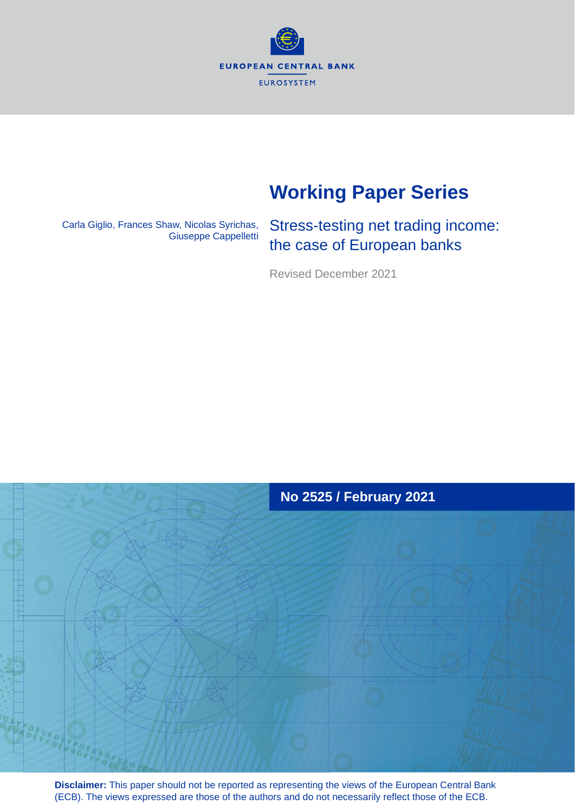**EUROPEAN CENTRAL BANK EUROSYSTEM** 

# **Working Paper Series**

Carla Giglio, Frances Shaw, Nicolas Syrichas, Giuseppe Cappelletti

Stress-testing net trading income: the case of European banks

Revised December 2021



**Disclaimer:** This paper should not be reported as representing the views of the European Central Bank (ECB). The views expressed are those of the authors and do not necessarily reflect those of the ECB.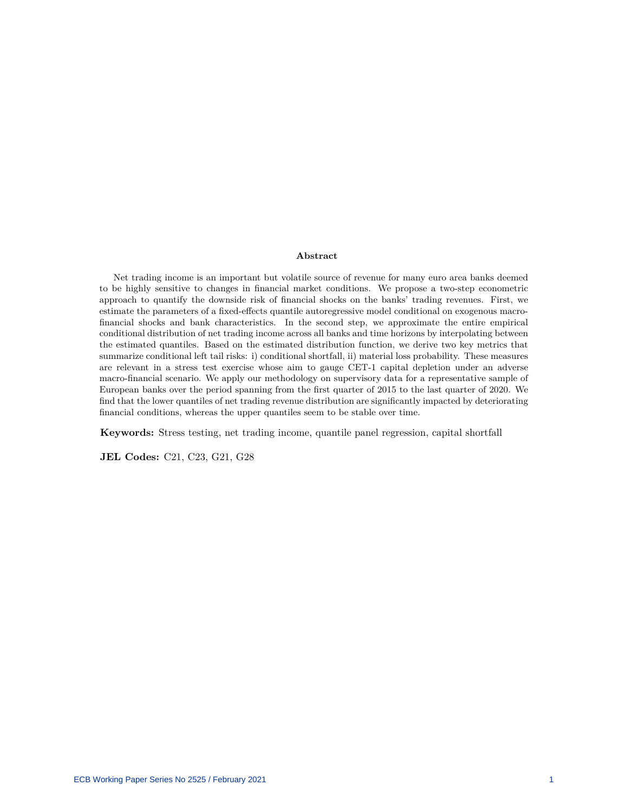#### **Abstract**

Net trading income is an important but volatile source of revenue for many euro area banks deemed to be highly sensitive to changes in financial market conditions. We propose a two-step econometric approach to quantify the downside risk of financial shocks on the banks' trading revenues. First, we estimate the parameters of a fixed-effects quantile autoregressive model conditional on exogenous macrofinancial shocks and bank characteristics. In the second step, we approximate the entire empirical conditional distribution of net trading income across all banks and time horizons by interpolating between the estimated quantiles. Based on the estimated distribution function, we derive two key metrics that summarize conditional left tail risks: i) conditional shortfall, ii) material loss probability. These measures are relevant in a stress test exercise whose aim to gauge CET-1 capital depletion under an adverse macro-financial scenario. We apply our methodology on supervisory data for a representative sample of European banks over the period spanning from the first quarter of 2015 to the last quarter of 2020. We find that the lower quantiles of net trading revenue distribution are significantly impacted by deteriorating financial conditions, whereas the upper quantiles seem to be stable over time.

**Keywords:** Stress testing, net trading income, quantile panel regression, capital shortfall

**JEL Codes:** C21, C23, G21, G28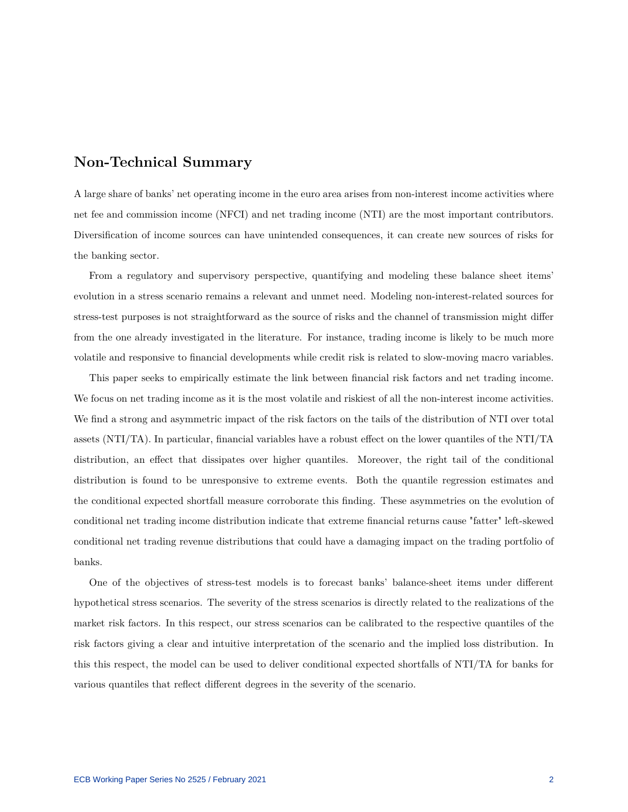## **Non-Technical Summary**

A large share of banks' net operating income in the euro area arises from non-interest income activities where net fee and commission income (NFCI) and net trading income (NTI) are the most important contributors. Diversification of income sources can have unintended consequences, it can create new sources of risks for the banking sector.

From a regulatory and supervisory perspective, quantifying and modeling these balance sheet items' evolution in a stress scenario remains a relevant and unmet need. Modeling non-interest-related sources for stress-test purposes is not straightforward as the source of risks and the channel of transmission might differ from the one already investigated in the literature. For instance, trading income is likely to be much more volatile and responsive to financial developments while credit risk is related to slow-moving macro variables.

This paper seeks to empirically estimate the link between financial risk factors and net trading income. We focus on net trading income as it is the most volatile and riskiest of all the non-interest income activities. We find a strong and asymmetric impact of the risk factors on the tails of the distribution of NTI over total assets (NTI/TA). In particular, financial variables have a robust effect on the lower quantiles of the NTI/TA distribution, an effect that dissipates over higher quantiles. Moreover, the right tail of the conditional distribution is found to be unresponsive to extreme events. Both the quantile regression estimates and the conditional expected shortfall measure corroborate this finding. These asymmetries on the evolution of conditional net trading income distribution indicate that extreme financial returns cause "fatter" left-skewed conditional net trading revenue distributions that could have a damaging impact on the trading portfolio of banks.

One of the objectives of stress-test models is to forecast banks' balance-sheet items under different hypothetical stress scenarios. The severity of the stress scenarios is directly related to the realizations of the market risk factors. In this respect, our stress scenarios can be calibrated to the respective quantiles of the risk factors giving a clear and intuitive interpretation of the scenario and the implied loss distribution. In this this respect, the model can be used to deliver conditional expected shortfalls of NTI/TA for banks for various quantiles that reflect different degrees in the severity of the scenario.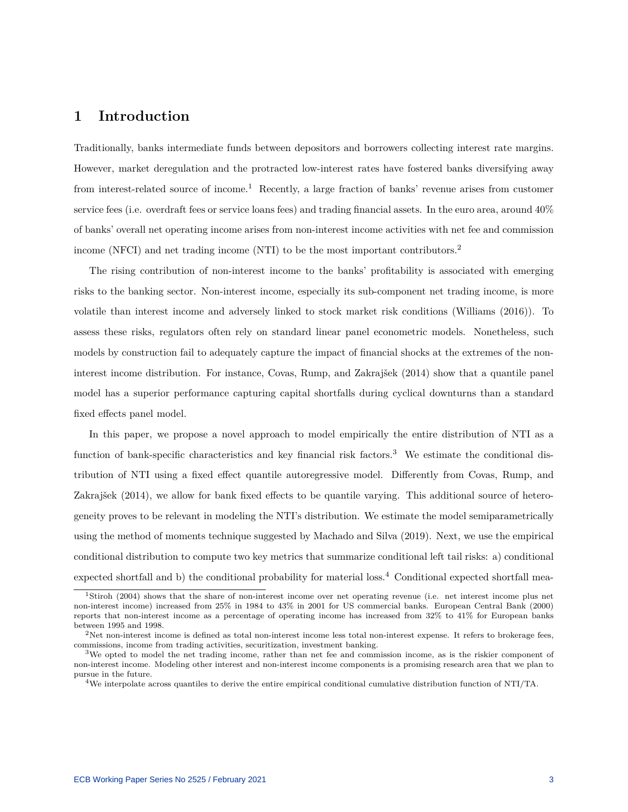## **1 Introduction**

Traditionally, banks intermediate funds between depositors and borrowers collecting interest rate margins. However, market deregulation and the protracted low-interest rates have fostered banks diversifying away from interest-related source of income.[1](#page-3-0) Recently, a large fraction of banks' revenue arises from customer service fees (i.e. overdraft fees or service loans fees) and trading financial assets. In the euro area, around 40% of banks' overall net operating income arises from non-interest income activities with net fee and commission income (NFCI) and net trading income (NTI) to be the most important contributors.[2](#page-3-1)

The rising contribution of non-interest income to the banks' profitability is associated with emerging risks to the banking sector. Non-interest income, especially its sub-component net trading income, is more volatile than interest income and adversely linked to stock market risk conditions (William[s \(2016\)\)](#page-27-0). To assess these risks, regulators often rely on standard linear panel econometric models. Nonetheless, such models by construction fail to adequately capture the impact of financial shocks at the extremes of the noninterest income distribution. For instance, Covas, Rump, and Zakrajše[k \(2014\)](#page-26-0) show that a quantile panel model has a superior performance capturing capital shortfalls during cyclical downturns than a standard fixed effects panel model.

In this paper, we propose a novel approach to model empirically the entire distribution of NTI as a function of bank-specific characteristics and key financial risk factors.[3](#page-3-2) We estimate the conditional distribution of NTI using a fixed effect quantile autoregressive model. Differently from Covas, Rump, and Zakrajše[k \(2014\),](#page-26-0) we allow for bank fixed effects to be quantile varying. This additional source of heterogeneity proves to be relevant in modeling the NTI's distribution. We estimate the model semiparametrically using the method of moments technique suggested by Machado and Silv[a \(2019\).](#page-27-1) Next, we use the empirical conditional distribution to compute two key metrics that summarize conditional left tail risks: a) conditional expected shortfall and b) the conditional probability for material loss.[4](#page-3-3) Conditional expected shortfall mea-

<span id="page-3-0"></span><sup>1</sup>Stiro[h \(2004\)](#page-27-2) shows that the share of non-interest income over net operating revenue (i.e. net interest income plus net non-interest income) increased from 25% in 1984 to 43% in 2001 for US commercial banks. European Central Ban[k \(2000\)](#page-26-1) reports that non-interest income as a percentage of operating income has increased from 32% to 41% for European banks between 1995 and 1998.

<span id="page-3-1"></span> $2$ Net non-interest income is defined as total non-interest income less total non-interest expense. It refers to brokerage fees, commissions, income from trading activities, securitization, investment banking.

<span id="page-3-2"></span> $3$ We opted to model the net trading income, rather than net fee and commission income, as is the riskier component of non-interest income. Modeling other interest and non-interest income components is a promising research area that we plan to pursue in the future.

<span id="page-3-3"></span><sup>4</sup>We interpolate across quantiles to derive the entire empirical conditional cumulative distribution function of NTI/TA.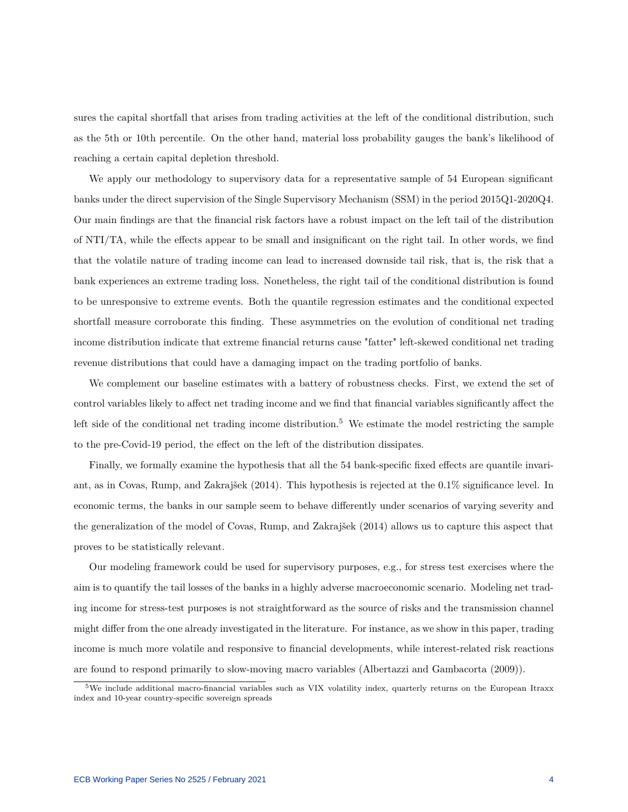sures the capital shortfall that arises from trading activities at the left of the conditional distribution, such as the 5th or 10th percentile. On the other hand, material loss probability gauges the bank's likelihood of reaching a certain capital depletion threshold.

We apply our methodology to supervisory data for a representative sample of 54 European significant banks under the direct supervision of the Single Supervisory Mechanism (SSM) in the period 2015Q1-2020Q4. Our main findings are that the financial risk factors have a robust impact on the left tail of the distribution of NTI/TA, while the effects appear to be small and insignificant on the right tail. In other words, we find that the volatile nature of trading income can lead to increased downside tail risk, that is, the risk that a bank experiences an extreme trading loss. Nonetheless, the right tail of the conditional distribution is found to be unresponsive to extreme events. Both the quantile regression estimates and the conditional expected shortfall measure corroborate this finding. These asymmetries on the evolution of conditional net trading income distribution indicate that extreme financial returns cause "fatter" left-skewed conditional net trading revenue distributions that could have a damaging impact on the trading portfolio of banks.

We complement our baseline estimates with a battery of robustness checks. First, we extend the set of control variables likely to affect net trading income and we find that financial variables significantly affect the left side of the conditional net trading income distribution.<sup>[5](#page-4-0)</sup> We estimate the model restricting the sample to the pre-Covid-19 period, the effect on the left of the distribution dissipates.

Finally, we formally examine the hypothesis that all the 54 bank-specific fixed effects are quantile invariant, as in Covas, Rump, and Zakrajše[k \(2014\).](#page-26-0) This hypothesis is rejected at the 0.1% significance level. In economic terms, the banks in our sample seem to behave differently under scenarios of varying severity and the generalization of the model of Covas, Rump, and Zakrajše[k \(2014\)](#page-26-0) allows us to capture this aspect that proves to be statistically relevant.

Our modeling framework could be used for supervisory purposes, e.g., for stress test exercises where the aim is to quantify the tail losses of the banks in a highly adverse macroeconomic scenario. Modeling net trading income for stress-test purposes is not straightforward as the source of risks and the transmission channel might differ from the one already investigated in the literature. For instance, as we show in this paper, trading income is much more volatile and responsive to financial developments, while interest-related risk reactions are found to respond primarily to slow-moving macro variables (Albertazzi and Gambacort[a \(2009\)\)](#page-26-2).

<span id="page-4-0"></span> $5$ We include additional macro-financial variables such as VIX volatility index, quarterly returns on the European Itraxx index and 10-year country-specific sovereign spreads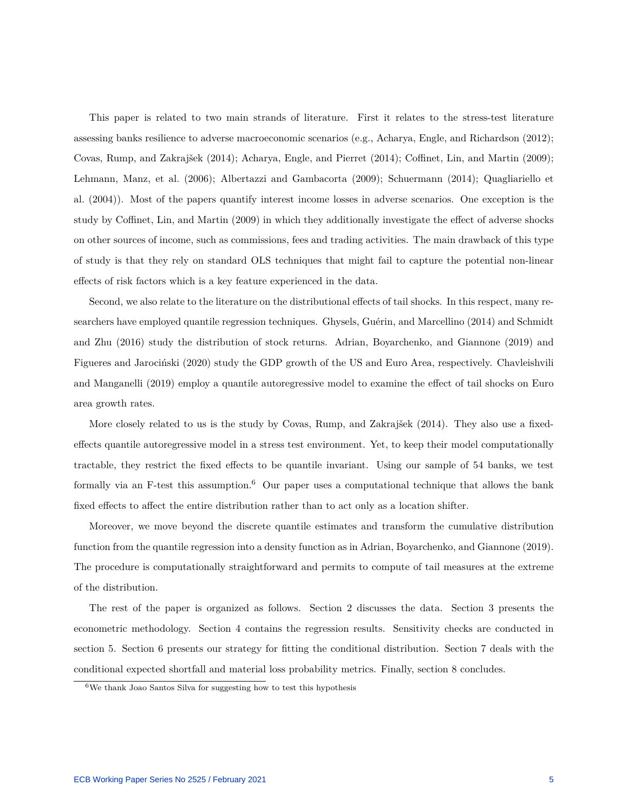This paper is related to two main strands of literature. First it relates to the stress-test literature assessing banks resilience to adverse macroeconomic scenarios (e.g., Acharya, Engle, and Richardso[n \(2012\);](#page-25-0) Covas, Rump, and Zakrajše[k \(2014\);](#page-26-0) Acharya, Engle, and Pierre[t \(2014\);](#page-25-1) Coffinet, Lin, and Marti[n \(2009\);](#page-26-3) Lehmann, Manz, et al[. \(2006\);](#page-27-3) Albertazzi and Gambacort[a \(2009\);](#page-26-2) Schuerman[n \(2014\);](#page-27-4) Quagliariello et al[. \(2004\)\)](#page-27-5). Most of the papers quantify interest income losses in adverse scenarios. One exception is the study by Coffinet, Lin, and Marti[n \(2009\)](#page-26-3) in which they additionally investigate the effect of adverse shocks on other sources of income, such as commissions, fees and trading activities. The main drawback of this type of study is that they rely on standard OLS techniques that might fail to capture the potential non-linear effects of risk factors which is a key feature experienced in the data.

Second, we also relate to the literature on the distributional effects of tail shocks. In this respect, many researchers have employed quantile regression techniques. Ghysels, Guérin, and Marcellin[o \(2014\)](#page-26-4) and Schmidt and Zh[u \(2016\)](#page-27-6) study the distribution of stock returns. Adrian, Boyarchenko, and Giannon[e \(2019\)](#page-26-5) and Figueres and Jarocińsk[i \(2020\)](#page-26-6) study the GDP growth of the US and Euro Area, respectively. Chavleishvili and Manganell[i \(2019\)](#page-26-7) employ a quantile autoregressive model to examine the effect of tail shocks on Euro area growth rates.

More closely related to us is the study by Covas, Rump, and Zakrajše[k \(2014\).](#page-26-0) They also use a fixedeffects quantile autoregressive model in a stress test environment. Yet, to keep their model computationally tractable, they restrict the fixed effects to be quantile invariant. Using our sample of 54 banks, we test formally via an F-test this assumption.<sup>[6](#page-5-0)</sup> Our paper uses a computational technique that allows the bank fixed effects to affect the entire distribution rather than to act only as a location shifter.

Moreover, we move beyond the discrete quantile estimates and transform the cumulative distribution function from the quantile regression into a density function as in Adrian, Boyarchenko, and Giannon[e \(2019\).](#page-26-5) The procedure is computationally straightforward and permits to compute of tail measures at the extreme of the distribution.

The rest of the paper is organized as follows. Section 2 discusses the data. Section 3 presents the econometric methodology. Section 4 contains the regression results. Sensitivity checks are conducted in section 5. Section 6 presents our strategy for fitting the conditional distribution. Section 7 deals with the conditional expected shortfall and material loss probability metrics. Finally, section 8 concludes.

<span id="page-5-0"></span><sup>6</sup>We thank Joao Santos Silva for suggesting how to test this hypothesis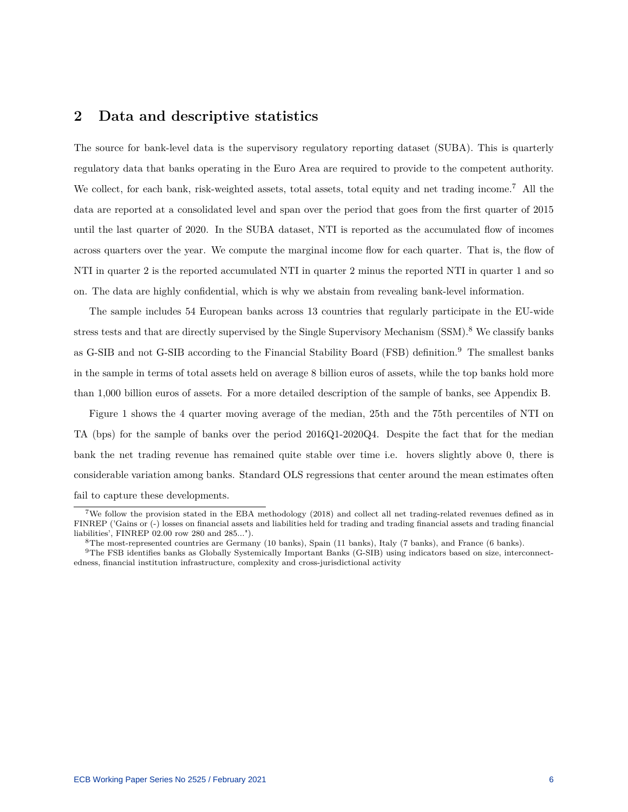## **2 Data and descriptive statistics**

The source for bank-level data is the supervisory regulatory reporting dataset (SUBA). This is quarterly regulatory data that banks operating in the Euro Area are required to provide to the competent authority. We collect, for each bank, risk-weighted assets, total assets, total equity and net trading income.<sup>[7](#page-6-0)</sup> All the data are reported at a consolidated level and span over the period that goes from the first quarter of 2015 until the last quarter of 2020. In the SUBA dataset, NTI is reported as the accumulated flow of incomes across quarters over the year. We compute the marginal income flow for each quarter. That is, the flow of NTI in quarter 2 is the reported accumulated NTI in quarter 2 minus the reported NTI in quarter 1 and so on. The data are highly confidential, which is why we abstain from revealing bank-level information.

The sample includes 54 European banks across 13 countries that regularly participate in the EU-wide stress tests and that are directly supervised by the Single Supervisory Mechanism (SSM).<sup>[8](#page-6-1)</sup> We classify banks as G-SIB and not G-SIB according to the Financial Stability Board (FSB) definition.[9](#page-6-2) The smallest banks in the sample in terms of total assets held on average 8 billion euros of assets, while the top banks hold more than 1,000 billion euros of assets. For a more detailed description of the sample of banks, see Appendix B.

Figure [1](#page-7-0) shows the 4 quarter moving average of the median, 25th and the 75th percentiles of NTI on TA (bps) for the sample of banks over the period 2016Q1-2020Q4. Despite the fact that for the median bank the net trading revenue has remained quite stable over time i.e. hovers slightly above 0, there is considerable variation among banks. Standard OLS regressions that center around the mean estimates often fail to capture these developments.

<span id="page-6-0"></span><sup>7</sup>We follow the provision stated in the EBA methodology (2018) and collect all net trading-related revenues defined as in FINREP ('Gains or (-) losses on financial assets and liabilities held for trading and trading financial assets and trading financial liabilities', FINREP 02.00 row 280 and 285...").

<span id="page-6-2"></span><span id="page-6-1"></span><sup>8</sup>The most-represented countries are Germany (10 banks), Spain (11 banks), Italy (7 banks), and France (6 banks).

<sup>9</sup>The FSB identifies banks as Globally Systemically Important Banks (G-SIB) using indicators based on size, interconnectedness, financial institution infrastructure, complexity and cross-jurisdictional activity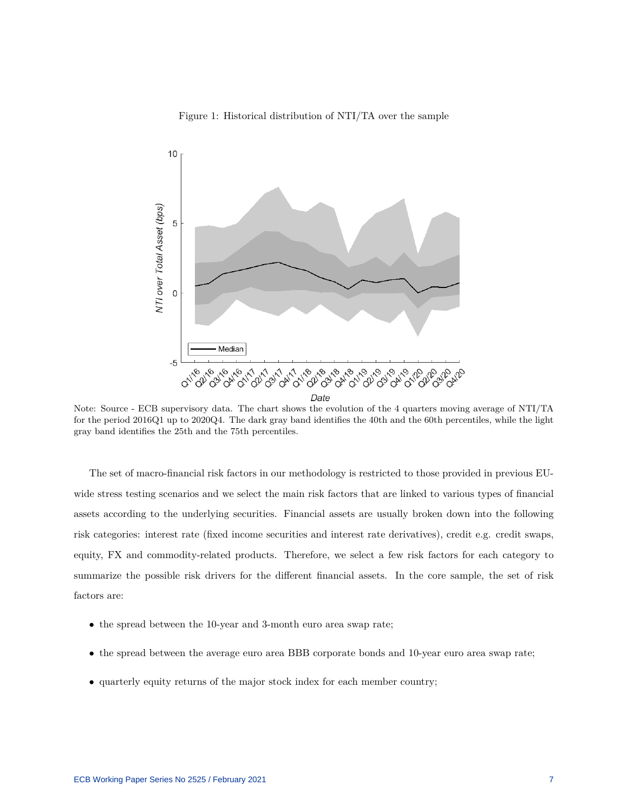#### Figure 1: Historical distribution of NTI/TA over the sample

<span id="page-7-0"></span>

Note: Source - ECB supervisory data. The chart shows the evolution of the 4 quarters moving average of NTI/TA for the period 2016Q1 up to 2020Q4. The dark gray band identifies the 40th and the 60th percentiles, while the light gray band identifies the 25th and the 75th percentiles.

The set of macro-financial risk factors in our methodology is restricted to those provided in previous EUwide stress testing scenarios and we select the main risk factors that are linked to various types of financial assets according to the underlying securities. Financial assets are usually broken down into the following risk categories: interest rate (fixed income securities and interest rate derivatives), credit e.g. credit swaps, equity, FX and commodity-related products. Therefore, we select a few risk factors for each category to summarize the possible risk drivers for the different financial assets. In the core sample, the set of risk factors are:

- the spread between the 10-year and 3-month euro area swap rate;
- the spread between the average euro area BBB corporate bonds and 10-year euro area swap rate;
- quarterly equity returns of the major stock index for each member country;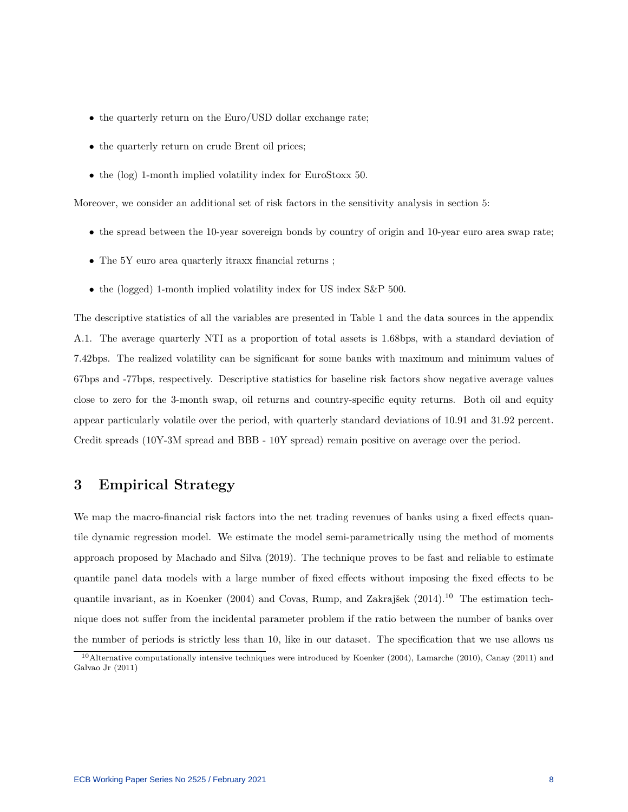- the quarterly return on the Euro/USD dollar exchange rate;
- the quarterly return on crude Brent oil prices;
- the (log) 1-month implied volatility index for EuroStoxx 50.

Moreover, we consider an additional set of risk factors in the sensitivity analysis in section 5:

- the spread between the 10-year sovereign bonds by country of origin and 10-year euro area swap rate;
- The 5Y euro area quarterly itraxx financial returns ;
- the (logged) 1-month implied volatility index for US index S&P 500.

The descriptive statistics of all the variables are presented in Table [1](#page-9-0) and the data sources in the appendix [A.1.](#page-28-0) The average quarterly NTI as a proportion of total assets is 1.68bps, with a standard deviation of 7.42bps. The realized volatility can be significant for some banks with maximum and minimum values of 67bps and -77bps, respectively. Descriptive statistics for baseline risk factors show negative average values close to zero for the 3-month swap, oil returns and country-specific equity returns. Both oil and equity appear particularly volatile over the period, with quarterly standard deviations of 10.91 and 31.92 percent. Credit spreads (10Y-3M spread and BBB - 10Y spread) remain positive on average over the period.

## **3 Empirical Strategy**

We map the macro-financial risk factors into the net trading revenues of banks using a fixed effects quantile dynamic regression model. We estimate the model semi-parametrically using the method of moments approach proposed by Machado and Silv[a \(2019\).](#page-27-1) The technique proves to be fast and reliable to estimate quantile panel data models with a large number of fixed effects without imposing the fixed effects to be quantile invariant, as in Koenke[r \(2004\)](#page-26-8) and Covas, Rump, and Zakrajše[k \(2014\).](#page-26-0)<sup>[10](#page-8-0)</sup> The estimation technique does not suffer from the incidental parameter problem if the ratio between the number of banks over the number of periods is strictly less than 10, like in our dataset. The specification that we use allows us

<span id="page-8-0"></span><sup>10</sup>Alternative computationally intensive techniques were introduced by Koenke[r \(2004\),](#page-26-8) Lamarch[e \(2010\),](#page-26-9) Cana[y \(2011\)](#page-26-10) and Galvao J[r \(2011\)](#page-26-11)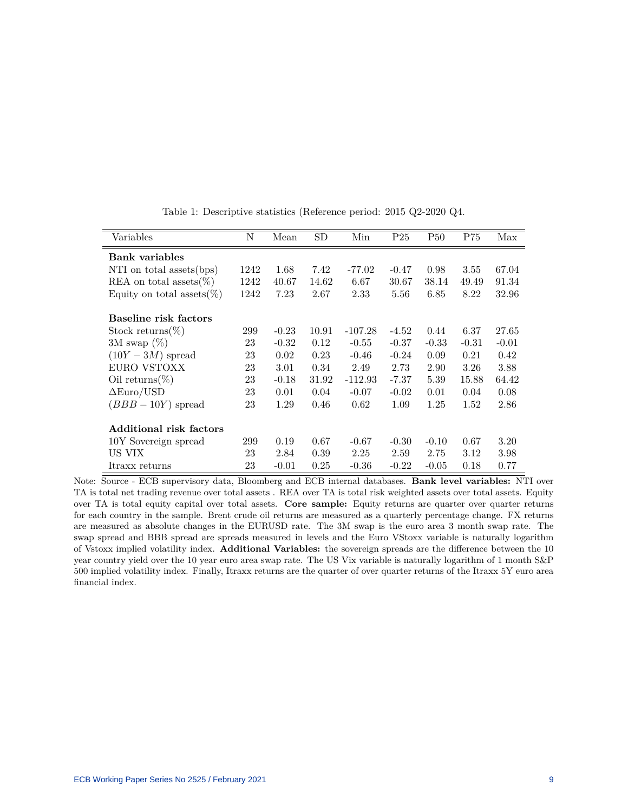<span id="page-9-0"></span>

| Variables                     | N    | Mean    | $_{\rm SD}$ | Min       | P <sub>25</sub> | <b>P50</b> | P75     | Max     |
|-------------------------------|------|---------|-------------|-----------|-----------------|------------|---------|---------|
| Bank variables                |      |         |             |           |                 |            |         |         |
| NTI on total assets(bps)      | 1242 | 1.68    | 7.42        | $-77.02$  | $-0.47$         | 0.98       | 3.55    | 67.04   |
| REA on total assets $(\%)$    | 1242 | 40.67   | 14.62       | 6.67      | 30.67           | 38.14      | 49.49   | 91.34   |
| Equity on total assets $(\%)$ | 1242 | 7.23    | 2.67        | 2.33      | 5.56            | 6.85       | 8.22    | 32.96   |
| Baseline risk factors         |      |         |             |           |                 |            |         |         |
| Stock returns $(\%)$          | 299  | $-0.23$ | 10.91       | $-107.28$ | $-4.52$         | 0.44       | 6.37    | 27.65   |
| 3M swap $(\%)$                | 23   | $-0.32$ | 0.12        | $-0.55$   | $-0.37$         | $-0.33$    | $-0.31$ | $-0.01$ |
| $(10Y-3M)$ spread             | 23   | 0.02    | 0.23        | $-0.46$   | $-0.24$         | 0.09       | 0.21    | 0.42    |
| EURO VSTOXX                   | 23   | 3.01    | 0.34        | 2.49      | 2.73            | 2.90       | 3.26    | 3.88    |
| Oil returns $(\%)$            | 23   | $-0.18$ | 31.92       | $-112.93$ | $-7.37$         | 5.39       | 15.88   | 64.42   |
| $\Delta Euro/USD$             | 23   | 0.01    | 0.04        | $-0.07$   | $-0.02$         | 0.01       | 0.04    | 0.08    |
| $(BBB-10Y)$ spread            | 23   | 1.29    | 0.46        | 0.62      | 1.09            | 1.25       | 1.52    | 2.86    |
| Additional risk factors       |      |         |             |           |                 |            |         |         |
| 10Y Sovereign spread          | 299  | 0.19    | 0.67        | $-0.67$   | $-0.30$         | $-0.10$    | 0.67    | 3.20    |
| US VIX                        | 23   | 2.84    | 0.39        | 2.25      | 2.59            | 2.75       | 3.12    | 3.98    |
| Itraxx returns                | 23   | $-0.01$ | 0.25        | $-0.36$   | $-0.22$         | $-0.05$    | 0.18    | 0.77    |

Table 1: Descriptive statistics (Reference period: 2015 Q2-2020 Q4.

Note: Source - ECB supervisory data, Bloomberg and ECB internal databases. **Bank level variables:** NTI over TA is total net trading revenue over total assets . REA over TA is total risk weighted assets over total assets. Equity over TA is total equity capital over total assets. **Core sample:** Equity returns are quarter over quarter returns for each country in the sample. Brent crude oil returns are measured as a quarterly percentage change. FX returns are measured as absolute changes in the EURUSD rate. The 3M swap is the euro area 3 month swap rate. The swap spread and BBB spread are spreads measured in levels and the Euro VStoxx variable is naturally logarithm of Vstoxx implied volatility index. **Additional Variables:** the sovereign spreads are the difference between the 10 year country yield over the 10 year euro area swap rate. The US Vix variable is naturally logarithm of 1 month S&P 500 implied volatility index. Finally, Itraxx returns are the quarter of over quarter returns of the Itraxx 5Y euro area financial index.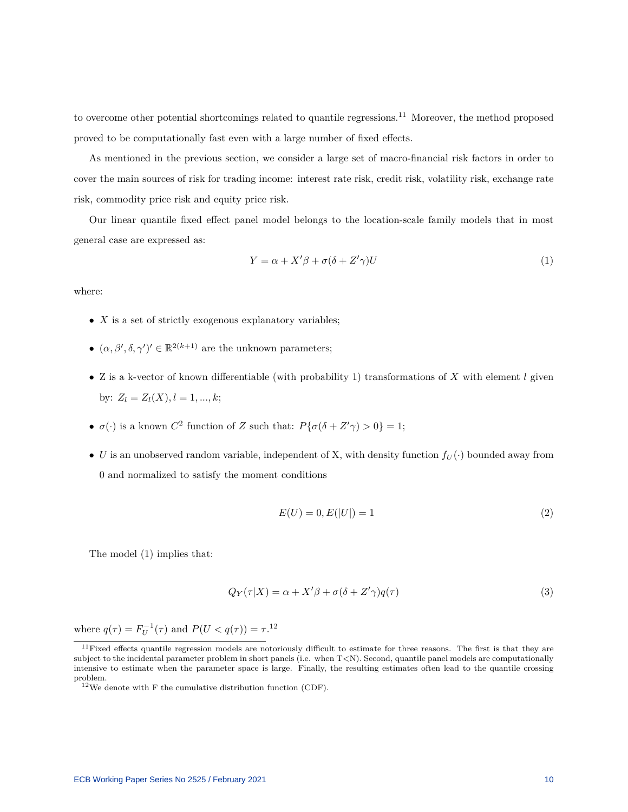to overcome other potential shortcomings related to quantile regressions.[11](#page-10-0) Moreover, the method proposed proved to be computationally fast even with a large number of fixed effects.

As mentioned in the previous section, we consider a large set of macro-financial risk factors in order to cover the main sources of risk for trading income: interest rate risk, credit risk, volatility risk, exchange rate risk, commodity price risk and equity price risk.

Our linear quantile fixed effect panel model belongs to the location-scale family models that in most general case are expressed as:

<span id="page-10-1"></span>
$$
Y = \alpha + X'\beta + \sigma(\delta + Z'\gamma)U\tag{1}
$$

where:

- *X* is a set of strictly exogenous explanatory variables;
- $\bullet$   $(\alpha, \beta', \delta, \gamma')' \in \mathbb{R}^{2(k+1)}$  are the unknown parameters;
- Z is a k-vector of known differentiable (with probability 1) transformations of *X* with element *l* given by:  $Z_l = Z_l(X), l = 1, ..., k;$
- $\sigma(\cdot)$  is a known  $C^2$  function of *Z* such that:  $P{\sigma(\delta + Z'\gamma) > 0} = 1;$
- *U* is an unobserved random variable, independent of X, with density function  $f_U(\cdot)$  bounded away from 0 and normalized to satisfy the moment conditions

<span id="page-10-3"></span>
$$
E(U) = 0, E(|U|) = 1
$$
\n(2)

The model [\(1\)](#page-10-1) implies that:

<span id="page-10-4"></span>
$$
Q_Y(\tau|X) = \alpha + X'\beta + \sigma(\delta + Z'\gamma)q(\tau)
$$
\n(3)

where  $q(\tau) = F_U^{-1}(\tau)$  and  $P(U < q(\tau)) = \tau$ .<sup>[12](#page-10-2)</sup>

<span id="page-10-0"></span> $11$ Fixed effects quantile regression models are notoriously difficult to estimate for three reasons. The first is that they are subject to the incidental parameter problem in short panels (i.e. when T<N). Second, quantile panel models are computationally intensive to estimate when the parameter space is large. Finally, the resulting estimates often lead to the quantile crossing problem.

<span id="page-10-2"></span> $12$ We denote with F the cumulative distribution function (CDF).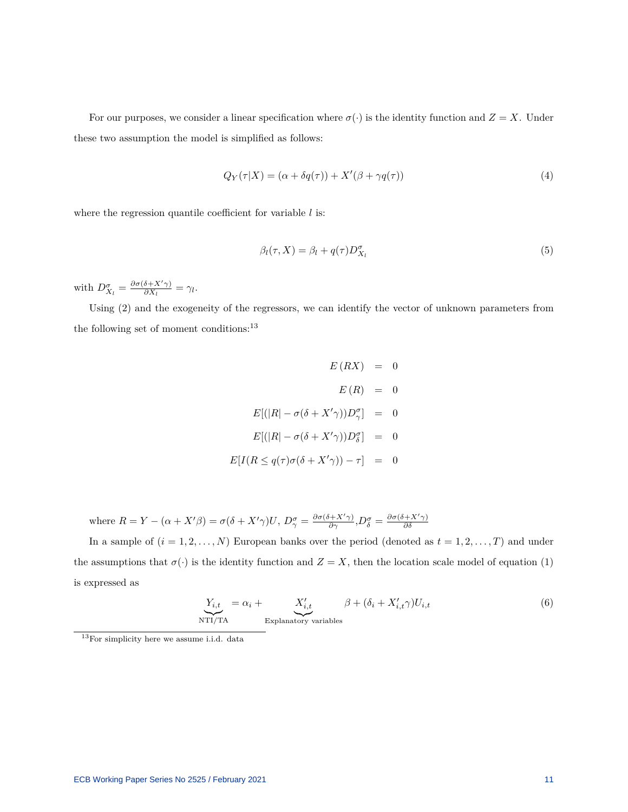For our purposes, we consider a linear specification where  $\sigma(\cdot)$  is the identity function and  $Z = X$ . Under these two assumption the model is simplified as follows:

<span id="page-11-2"></span>
$$
Q_Y(\tau|X) = (\alpha + \delta q(\tau)) + X'(\beta + \gamma q(\tau))
$$
\n(4)

where the regression quantile coefficient for variable *l* is:

$$
\beta_l(\tau, X) = \beta_l + q(\tau) D_{X_l}^{\sigma}
$$
\n<sup>(5)</sup>

with  $D_{X_l}^{\sigma} = \frac{\partial \sigma(\delta + X' \gamma)}{\partial X_l}$  $\frac{\partial + X[\gamma]}{\partial X_l} = \gamma_l.$ 

Using [\(2\)](#page-10-3) and the exogeneity of the regressors, we can identify the vector of unknown parameters from the following set of moment conditions:<sup>[13](#page-11-0)</sup>

$$
E(RX) = 0
$$
  
\n
$$
E(R) = 0
$$
  
\n
$$
E[(|R| - \sigma(\delta + X'\gamma))D^{\sigma}_{\gamma}] = 0
$$
  
\n
$$
E[(|R| - \sigma(\delta + X'\gamma))D^{\sigma}_{\delta}] = 0
$$
  
\n
$$
E[I(R \leq q(\tau)\sigma(\delta + X'\gamma)) - \tau] = 0
$$

where  $R = Y - (\alpha + X'\beta) = \sigma(\delta + X'\gamma)U$ ,  $D^{\sigma}_{\gamma} = \frac{\partial \sigma(\delta + X'\gamma)}{\partial \gamma}$ ,  $D^{\sigma}_{\delta} = \frac{\partial \sigma(\delta + X'\gamma)}{\partial \delta}$ *∂δ*

In a sample of  $(i = 1, 2, ..., N)$  European banks over the period (denoted as  $t = 1, 2, ..., T$ ) and under the assumptions that  $\sigma(\cdot)$  is the identity function and  $Z = X$ , then the location scale model of equation [\(1\)](#page-10-1) is expressed as

<span id="page-11-1"></span>
$$
\underbrace{Y_{i,t}}_{\text{NTI/TA}} = \alpha_i + \underbrace{X'_{i,t}}_{\text{Explanatory variables}} \beta + (\delta_i + X'_{i,t}\gamma)U_{i,t}
$$
\n(6)

<span id="page-11-0"></span><sup>13</sup>For simplicity here we assume i.i.d. data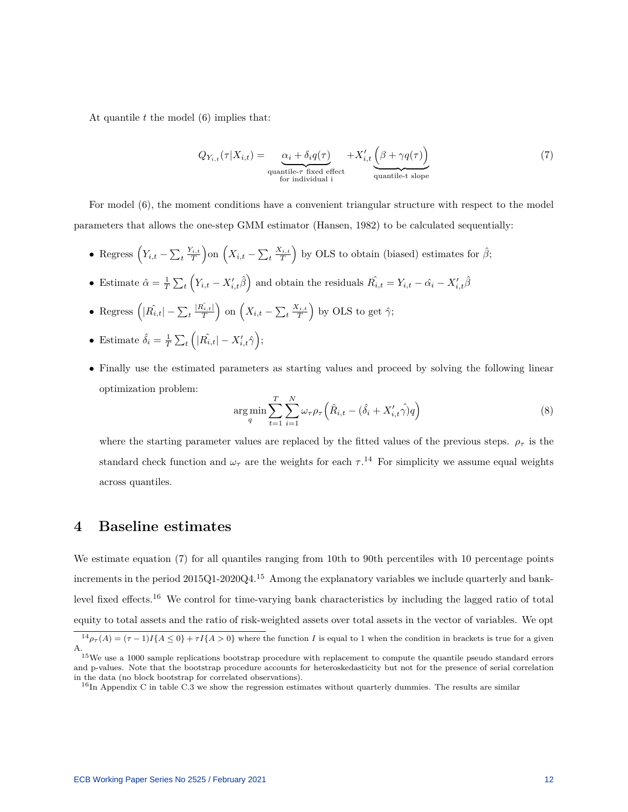At quantile *t* the model [\(6\)](#page-11-1) implies that:

<span id="page-12-1"></span>
$$
Q_{Y_{i,t}}(\tau|X_{i,t}) = \underbrace{\alpha_i + \delta_i q(\tau)}_{\text{quantile-} \tau \text{ fixed effect}} + X'_{i,t} \underbrace{\left(\beta + \gamma q(\tau)\right)}_{\text{quantile-} \tau \text{ slope}}
$$
(7)

For model [\(6\)](#page-11-1), the moment conditions have a convenient triangular structure with respect to the model parameters that allows the one-step GMM estimator (Hansen, 1982) to be calculated sequentially:

- Regress  $(Y_{i,t} \sum_t \frac{Y_{i,t}}{T})$  on  $(X_{i,t} \sum_t \frac{X_{i,t}}{T})$  by OLS to obtain (biased) estimates for  $\hat{\beta}$ ;
- Estimate  $\hat{\alpha} = \frac{1}{T} \sum_t \left( Y_{i,t} X'_{i,t} \hat{\beta} \right)$  and obtain the residuals  $\hat{R_{i,t}} = Y_{i,t} \hat{\alpha}_i X'_{i,t} \hat{\beta}$
- Regress  $\left(|\hat{R}_{i,t}| \sum_t \frac{|\hat{R}_{i,t}|}{T}\right)$  on  $\left(X_{i,t} \sum_t \frac{X_{i,t}}{T}\right)$  by OLS to get  $\hat{\gamma}$ ;
- Estimate  $\hat{\delta}_i = \frac{1}{T} \sum_t \left( |\hat{R}_{i,t}| X'_{i,t} \hat{\gamma} \right);$
- Finally use the estimated parameters as starting values and proceed by solving the following linear optimization problem:

$$
\arg\min_{q} \sum_{t=1}^{T} \sum_{i=1}^{N} \omega_{\tau} \rho_{\tau} \left( \hat{R}_{i,t} - (\hat{\delta}_i + X'_{i,t} \hat{\gamma}) q \right) \tag{8}
$$

where the starting parameter values are replaced by the fitted values of the previous steps.  $\rho_{\tau}$  is the standard check function and  $\omega_{\tau}$  are the weights for each  $\tau$ .<sup>[14](#page-12-0)</sup> For simplicity we assume equal weights across quantiles.

## **4 Baseline estimates**

We estimate equation [\(7\)](#page-12-1) for all quantiles ranging from 10th to 90th percentiles with 10 percentage points increments in the period  $2015Q1-2020Q4$  $2015Q1-2020Q4$  $2015Q1-2020Q4$ .<sup>15</sup> Among the explanatory variables we include quarterly and banklevel fixed effects.[16](#page-12-3) We control for time-varying bank characteristics by including the lagged ratio of total equity to total assets and the ratio of risk-weighted assets over total assets in the vector of variables. We opt

<span id="page-12-0"></span> $\frac{14}{\rho_{\tau}(A) = (\tau - 1)I\{A \leq 0\} + \tau I\{A > 0\}$  where the function *I* is equal to 1 when the condition in brackets is true for a given A.

<span id="page-12-2"></span><sup>&</sup>lt;sup>15</sup>We use a 1000 sample replications bootstrap procedure with replacement to compute the quantile pseudo standard errors and p-values. Note that the bootstrap procedure accounts for heteroskedasticity but not for the presence of serial correlation in the data (no block bootstrap for correlated observations).

<span id="page-12-3"></span> $16$ In Appendix [C](#page-31-0) in table [C.3](#page-31-1) we show the regression estimates without quarterly dummies. The results are similar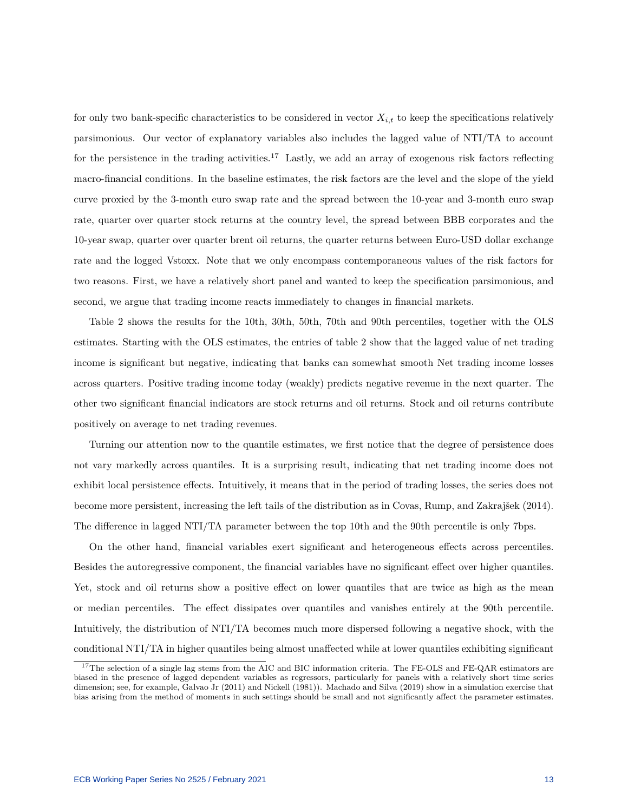for only two bank-specific characteristics to be considered in vector  $X_{i,t}$  to keep the specifications relatively parsimonious. Our vector of explanatory variables also includes the lagged value of NTI/TA to account for the persistence in the trading activities.<sup>[17](#page-13-0)</sup> Lastly, we add an array of exogenous risk factors reflecting macro-financial conditions. In the baseline estimates, the risk factors are the level and the slope of the yield curve proxied by the 3-month euro swap rate and the spread between the 10-year and 3-month euro swap rate, quarter over quarter stock returns at the country level, the spread between BBB corporates and the 10-year swap, quarter over quarter brent oil returns, the quarter returns between Euro-USD dollar exchange rate and the logged Vstoxx. Note that we only encompass contemporaneous values of the risk factors for two reasons. First, we have a relatively short panel and wanted to keep the specification parsimonious, and second, we argue that trading income reacts immediately to changes in financial markets.

Table 2 shows the results for the 10th, 30th, 50th, 70th and 90th percentiles, together with the OLS estimates. Starting with the OLS estimates, the entries of table 2 show that the lagged value of net trading income is significant but negative, indicating that banks can somewhat smooth Net trading income losses across quarters. Positive trading income today (weakly) predicts negative revenue in the next quarter. The other two significant financial indicators are stock returns and oil returns. Stock and oil returns contribute positively on average to net trading revenues.

Turning our attention now to the quantile estimates, we first notice that the degree of persistence does not vary markedly across quantiles. It is a surprising result, indicating that net trading income does not exhibit local persistence effects. Intuitively, it means that in the period of trading losses, the series does not become more persistent, increasing the left tails of the distribution as in Covas, Rump, and Zakrajše[k \(2014\).](#page-26-0) The difference in lagged NTI/TA parameter between the top 10th and the 90th percentile is only 7bps.

On the other hand, financial variables exert significant and heterogeneous effects across percentiles. Besides the autoregressive component, the financial variables have no significant effect over higher quantiles. Yet, stock and oil returns show a positive effect on lower quantiles that are twice as high as the mean or median percentiles. The effect dissipates over quantiles and vanishes entirely at the 90th percentile. Intuitively, the distribution of NTI/TA becomes much more dispersed following a negative shock, with the conditional NTI/TA in higher quantiles being almost unaffected while at lower quantiles exhibiting significant

<span id="page-13-0"></span><sup>&</sup>lt;sup>17</sup>The selection of a single lag stems from the AIC and BIC information criteria. The FE-OLS and FE-QAR estimators are biased in the presence of lagged dependent variables as regressors, particularly for panels with a relatively short time series dimension; see, for example, Galvao J[r \(2011\)](#page-26-11) and Nickel[l \(1981\)\)](#page-27-7). Machado and Silv[a \(2019\)](#page-27-1) show in a simulation exercise that bias arising from the method of moments in such settings should be small and not significantly affect the parameter estimates.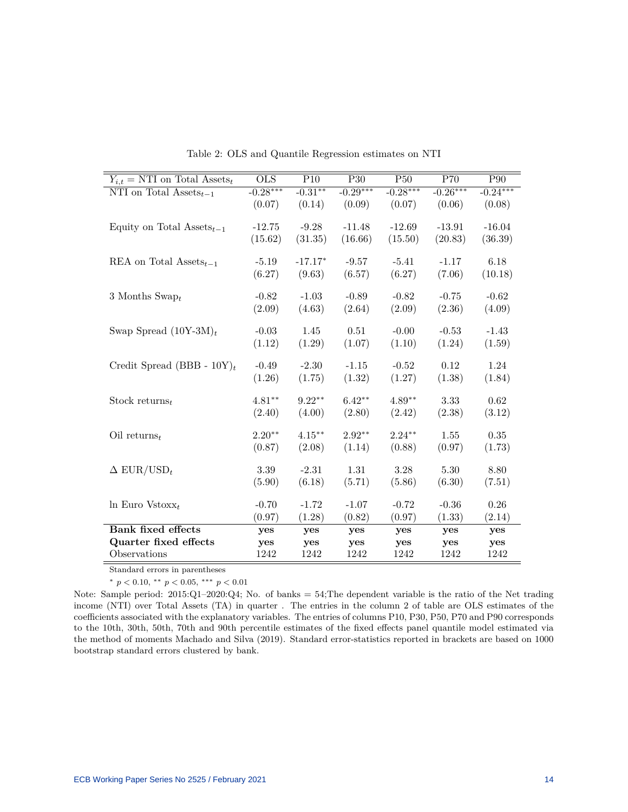| $Y_{i,t} = \text{NTI}$ on Total Assets <sub>t</sub> | <b>OLS</b> | P10       | P <sub>30</sub> | P50        | P70        | P90        |
|-----------------------------------------------------|------------|-----------|-----------------|------------|------------|------------|
| NTI on Total $\text{Assets}_{t-1}$                  | $-0.28***$ | $-0.31**$ | $-0.29***$      | $-0.28***$ | $-0.26***$ | $-0.24***$ |
|                                                     | (0.07)     | (0.14)    | (0.09)          | (0.07)     | (0.06)     | (0.08)     |
|                                                     |            |           |                 |            |            |            |
| Equity on Total Assets <sub><math>t-1</math></sub>  | $-12.75$   | $-9.28$   | $-11.48$        | $-12.69$   | $-13.91$   | $-16.04$   |
|                                                     | (15.62)    | (31.35)   | (16.66)         | (15.50)    | (20.83)    | (36.39)    |
| REA on Total Assets <sub>t-1</sub>                  | $-5.19$    | $-17.17*$ | $-9.57$         | $-5.41$    | $-1.17$    | 6.18       |
|                                                     |            | (9.63)    | (6.57)          | (6.27)     | (7.06)     |            |
|                                                     | (6.27)     |           |                 |            |            | (10.18)    |
| 3 Months Swap $_t$                                  | $-0.82$    | $-1.03$   | $-0.89$         | $-0.82$    | $-0.75$    | $-0.62$    |
|                                                     | (2.09)     | (4.63)    | (2.64)          | (2.09)     | (2.36)     | (4.09)     |
|                                                     |            |           |                 |            |            |            |
| Swap Spread $(10Y-3M)_t$                            | $-0.03$    | 1.45      | 0.51            | $-0.00$    | $-0.53$    | $-1.43$    |
|                                                     | (1.12)     | (1.29)    | (1.07)          | (1.10)     | (1.24)     | (1.59)     |
|                                                     |            |           |                 |            |            |            |
| Credit Spread (BBB - $10\text{Y}t$                  | $-0.49$    | $-2.30$   | $-1.15$         | $-0.52$    | 0.12       | $1.24\,$   |
|                                                     | (1.26)     | (1.75)    | (1.32)          | (1.27)     | (1.38)     | (1.84)     |
| Stock returns $_t$                                  | $4.81**$   | $9.22**$  | $6.42**$        | $4.89**$   | 3.33       | 0.62       |
|                                                     | (2.40)     | (4.00)    | (2.80)          | (2.42)     | (2.38)     | (3.12)     |
|                                                     |            |           |                 |            |            |            |
| Oil returns <sub>t</sub>                            | $2.20**$   | $4.15***$ | $2.92**$        | $2.24***$  | 1.55       | 0.35       |
|                                                     | (0.87)     | (2.08)    | (1.14)          | (0.88)     | (0.97)     | (1.73)     |
|                                                     |            |           |                 |            |            |            |
| $\Delta$ EUR/USD <sub>t</sub>                       | 3.39       | $-2.31$   | 1.31            | 3.28       | 5.30       | 8.80       |
|                                                     | (5.90)     | (6.18)    | (5.71)          | (5.86)     | (6.30)     | (7.51)     |
|                                                     |            |           |                 |            |            |            |
| $\ln$ Euro Vstoxx <sub>t</sub>                      | $-0.70$    | $-1.72$   | $-1.07$         | $-0.72$    | $-0.36$    | $0.26\,$   |
|                                                     | (0.97)     | (1.28)    | (0.82)          | (0.97)     | (1.33)     | (2.14)     |
| <b>Bank fixed effects</b>                           | yes        | yes       | yes             | yes        | yes        | yes        |
| Quarter fixed effects                               | yes        | yes       | yes             | yes        | yes        | yes        |
| Observations                                        | 1242       | 1242      | 1242            | 1242       | 1242       | 1242       |

Table 2: OLS and Quantile Regression estimates on NTI

Standard errors in parentheses

<sup>∗</sup> *p <* 0*.*10, ∗∗ *p <* 0*.*05, ∗∗∗ *p <* 0*.*01

Note: Sample period: 2015:Q1–2020:Q4; No. of banks = 54;The dependent variable is the ratio of the Net trading income (NTI) over Total Assets (TA) in quarter . The entries in the column 2 of table are OLS estimates of the coefficients associated with the explanatory variables. The entries of columns P10, P30, P50, P70 and P90 corresponds to the 10th, 30th, 50th, 70th and 90th percentile estimates of the fixed effects panel quantile model estimated via the method of moments Machado and Silv[a \(2019\).](#page-27-1) Standard error-statistics reported in brackets are based on 1000 bootstrap standard errors clustered by bank.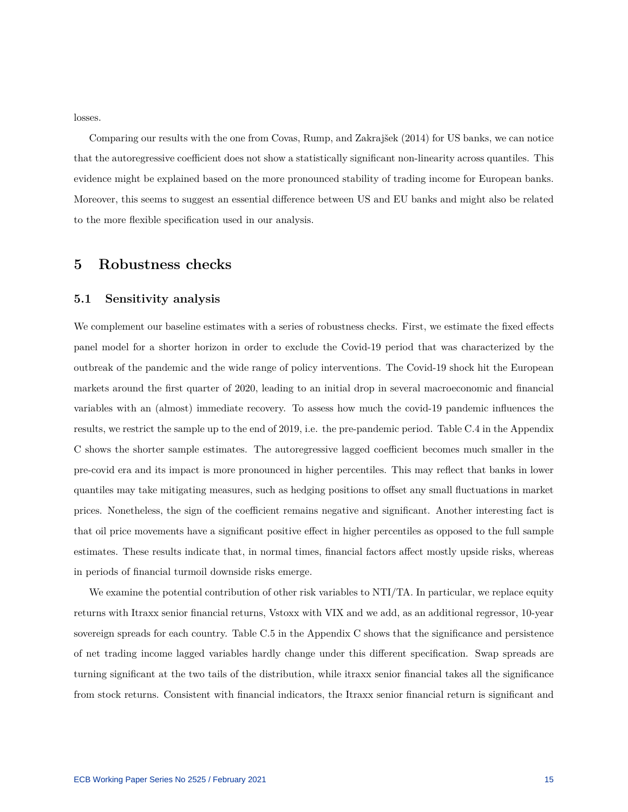losses.

Comparing our results with the one from Covas, Rump, and Zakrajše[k \(2014\)](#page-26-0) for US banks, we can notice that the autoregressive coefficient does not show a statistically significant non-linearity across quantiles. This evidence might be explained based on the more pronounced stability of trading income for European banks. Moreover, this seems to suggest an essential difference between US and EU banks and might also be related to the more flexible specification used in our analysis.

### **5 Robustness checks**

#### **5.1 Sensitivity analysis**

We complement our baseline estimates with a series of robustness checks. First, we estimate the fixed effects panel model for a shorter horizon in order to exclude the Covid-19 period that was characterized by the outbreak of the pandemic and the wide range of policy interventions. The Covid-19 shock hit the European markets around the first quarter of 2020, leading to an initial drop in several macroeconomic and financial variables with an (almost) immediate recovery. To assess how much the covid-19 pandemic influences the results, we restrict the sample up to the end of 2019, i.e. the pre-pandemic period. Table [C.4](#page-32-0) in the Appendix [C](#page-31-0) shows the shorter sample estimates. The autoregressive lagged coefficient becomes much smaller in the pre-covid era and its impact is more pronounced in higher percentiles. This may reflect that banks in lower quantiles may take mitigating measures, such as hedging positions to offset any small fluctuations in market prices. Nonetheless, the sign of the coefficient remains negative and significant. Another interesting fact is that oil price movements have a significant positive effect in higher percentiles as opposed to the full sample estimates. These results indicate that, in normal times, financial factors affect mostly upside risks, whereas in periods of financial turmoil downside risks emerge.

We examine the potential contribution of other risk variables to NTI/TA. In particular, we replace equity returns with Itraxx senior financial returns, Vstoxx with VIX and we add, as an additional regressor, 10-year sovereign spreads for each country. Table [C.5](#page-33-0) in the Appendix [C](#page-31-0) shows that the significance and persistence of net trading income lagged variables hardly change under this different specification. Swap spreads are turning significant at the two tails of the distribution, while itraxx senior financial takes all the significance from stock returns. Consistent with financial indicators, the Itraxx senior financial return is significant and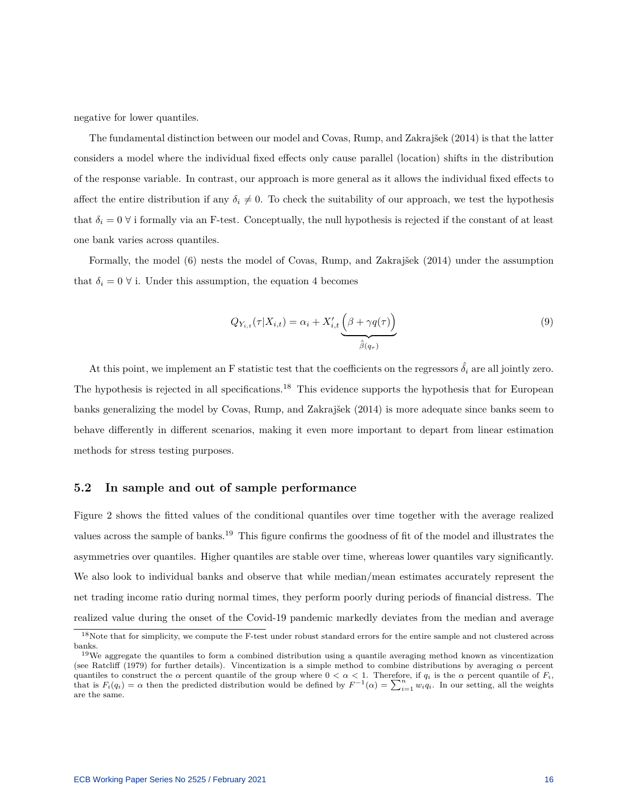negative for lower quantiles.

The fundamental distinction between our model and Covas, Rump, and Zakrajše[k \(2014\)](#page-26-0) is that the latter considers a model where the individual fixed effects only cause parallel (location) shifts in the distribution of the response variable. In contrast, our approach is more general as it allows the individual fixed effects to affect the entire distribution if any  $\delta_i \neq 0$ . To check the suitability of our approach, we test the hypothesis that  $\delta_i = 0 \forall$  i formally via an F-test. Conceptually, the null hypothesis is rejected if the constant of at least one bank varies across quantiles.

Formally, the model [\(6\)](#page-11-1) nests the model of Covas, Rump, and Zakrajše[k \(2014\)](#page-26-0) under the assumption that  $\delta_i = 0 \forall$  i. Under this assumption, the equation [4](#page-11-2) becomes

$$
Q_{Y_{i,t}}(\tau|X_{i,t}) = \alpha_i + X'_{i,t} \underbrace{\left(\beta + \gamma q(\tau)\right)}_{\hat{\beta}(q_{\tau})}
$$
\n
$$
(9)
$$

At this point, we implement an F statistic test that the coefficients on the regressors  $\hat{\delta}_i$  are all jointly zero. The hypothesis is rejected in all specifications.<sup>[18](#page-16-0)</sup> This evidence supports the hypothesis that for European banks generalizing the model by Covas, Rump, and Zakrajše[k \(2014\)](#page-26-0) is more adequate since banks seem to behave differently in different scenarios, making it even more important to depart from linear estimation methods for stress testing purposes.

#### **5.2 In sample and out of sample performance**

Figure [2](#page-17-0) shows the fitted values of the conditional quantiles over time together with the average realized values across the sample of banks.[19](#page-16-1) This figure confirms the goodness of fit of the model and illustrates the asymmetries over quantiles. Higher quantiles are stable over time, whereas lower quantiles vary significantly. We also look to individual banks and observe that while median/mean estimates accurately represent the net trading income ratio during normal times, they perform poorly during periods of financial distress. The realized value during the onset of the Covid-19 pandemic markedly deviates from the median and average

<span id="page-16-0"></span><sup>&</sup>lt;sup>18</sup>Note that for simplicity, we compute the F-test under robust standard errors for the entire sample and not clustered across banks.

<span id="page-16-1"></span> $19\text{We aggregate the quantiles to form a combined distribution using a quantile averaging method known as vincentization.}$ (see Ratcli[ff \(1979\)](#page-27-8) for further details). Vincentization is a simple method to combine distributions by averaging *α* percent quantiles to construct the  $\alpha$  percent quantile of the group where  $0 < \alpha < 1$ . Therefore, if  $q_i$  is the  $\alpha$  percent quantile of  $F_i$ , that is  $F_i(q_i) = \alpha$  then the predicted distribution would be defined by  $F^{-1}(\alpha) = \sum_{i=1}^n w_i q_i$ . In our setting, all the weights are the same.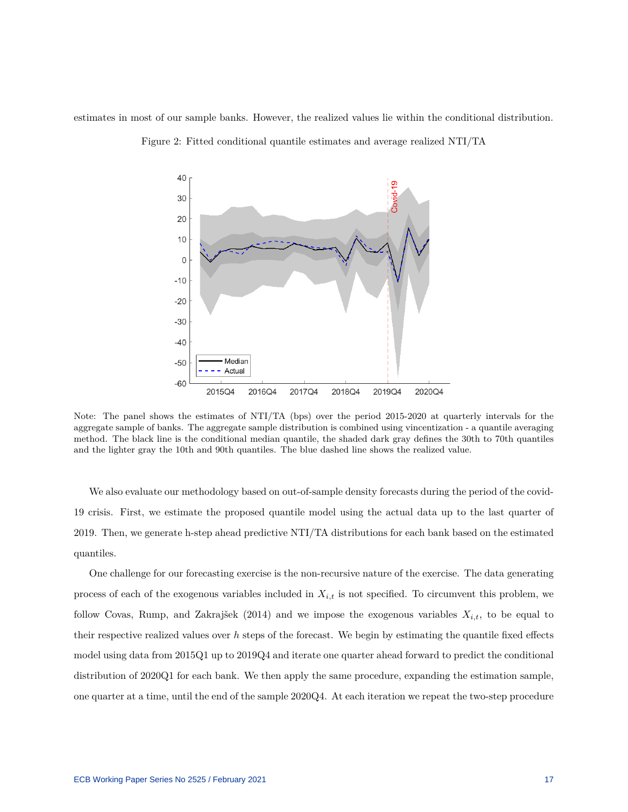<span id="page-17-0"></span>estimates in most of our sample banks. However, the realized values lie within the conditional distribution.



Figure 2: Fitted conditional quantile estimates and average realized NTI/TA

Note: The panel shows the estimates of NTI/TA (bps) over the period 2015-2020 at quarterly intervals for the aggregate sample of banks. The aggregate sample distribution is combined using vincentization - a quantile averaging method. The black line is the conditional median quantile, the shaded dark gray defines the 30th to 70th quantiles and the lighter gray the 10th and 90th quantiles. The blue dashed line shows the realized value.

We also evaluate our methodology based on out-of-sample density forecasts during the period of the covid-19 crisis. First, we estimate the proposed quantile model using the actual data up to the last quarter of 2019. Then, we generate h-step ahead predictive NTI/TA distributions for each bank based on the estimated quantiles.

One challenge for our forecasting exercise is the non-recursive nature of the exercise. The data generating process of each of the exogenous variables included in *Xi,t* is not specified. To circumvent this problem, we follow Covas, Rump, and Zakrajše[k \(2014\)](#page-26-0) and we impose the exogenous variables *Xi,t*, to be equal to their respective realized values over  $h$  steps of the forecast. We begin by estimating the quantile fixed effects model using data from 2015Q1 up to 2019Q4 and iterate one quarter ahead forward to predict the conditional distribution of 2020Q1 for each bank. We then apply the same procedure, expanding the estimation sample, one quarter at a time, until the end of the sample 2020Q4. At each iteration we repeat the two-step procedure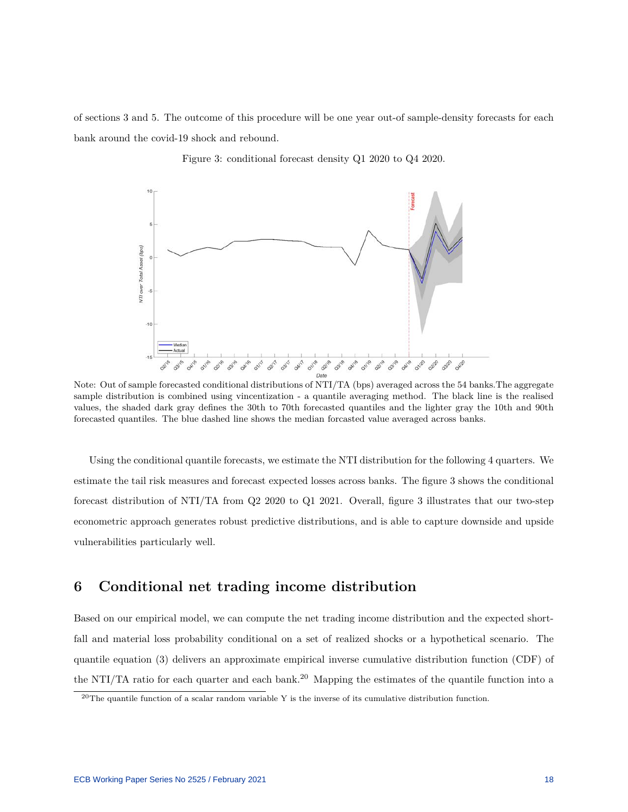<span id="page-18-0"></span>of sections 3 and 5. The outcome of this procedure will be one year out-of sample-density forecasts for each bank around the covid-19 shock and rebound.



Figure 3: conditional forecast density Q1 2020 to Q4 2020.

Note: Out of sample forecasted conditional distributions of NTI/TA (bps) averaged across the 54 banks.The aggregate sample distribution is combined using vincentization - a quantile averaging method. The black line is the realised values, the shaded dark gray defines the 30th to 70th forecasted quantiles and the lighter gray the 10th and 90th forecasted quantiles. The blue dashed line shows the median forcasted value averaged across banks.

Using the conditional quantile forecasts, we estimate the NTI distribution for the following 4 quarters. We estimate the tail risk measures and forecast expected losses across banks. The figure [3](#page-18-0) shows the conditional forecast distribution of NTI/TA from Q2 2020 to Q1 2021. Overall, figure [3](#page-18-0) illustrates that our two-step econometric approach generates robust predictive distributions, and is able to capture downside and upside vulnerabilities particularly well.

## **6 Conditional net trading income distribution**

Based on our empirical model, we can compute the net trading income distribution and the expected shortfall and material loss probability conditional on a set of realized shocks or a hypothetical scenario. The quantile equation [\(3\)](#page-10-4) delivers an approximate empirical inverse cumulative distribution function (CDF) of the NTI/TA ratio for each quarter and each bank.<sup>[20](#page-18-1)</sup> Mapping the estimates of the quantile function into a

<span id="page-18-1"></span><sup>&</sup>lt;sup>20</sup>The quantile function of a scalar random variable Y is the inverse of its cumulative distribution function.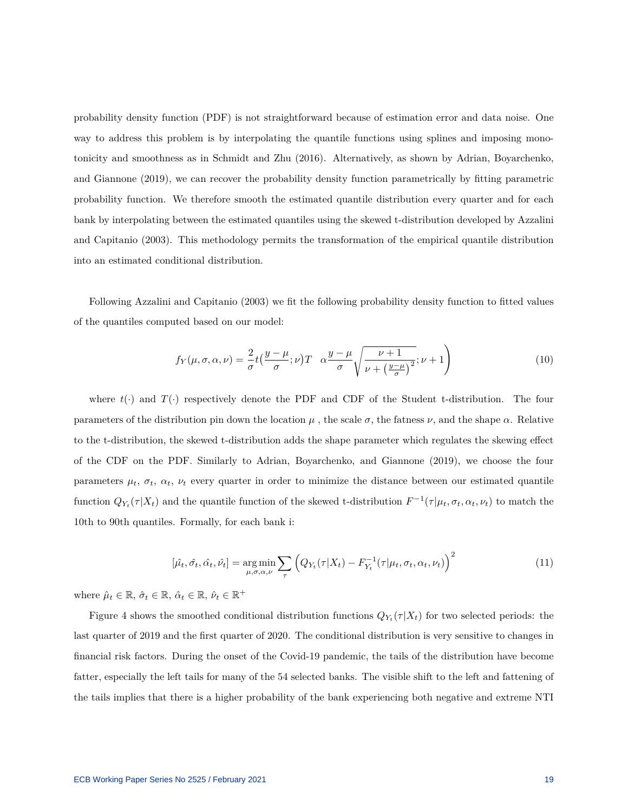probability density function (PDF) is not straightforward because of estimation error and data noise. One way to address this problem is by interpolating the quantile functions using splines and imposing monotonicity and smoothness as in Schmidt and Zh[u \(2016\).](#page-27-6) Alternatively, as shown by Adrian, Boyarchenko, and Giannon[e \(2019\),](#page-26-5) we can recover the probability density function parametrically by fitting parametric probability function. We therefore smooth the estimated quantile distribution every quarter and for each bank by interpolating between the estimated quantiles using the skewed t-distribution developed by Azzalini and Capitani[o \(2003\).](#page-26-12) This methodology permits the transformation of the empirical quantile distribution into an estimated conditional distribution.

Following Azzalini and Capitani[o \(2003\)](#page-26-12) we fit the following probability density function to fitted values of the quantiles computed based on our model:

$$
f_Y(\mu, \sigma, \alpha, \nu) = \frac{2}{\sigma} t \left( \frac{y - \mu}{\sigma}; \nu \right) T \quad \alpha \frac{y - \mu}{\sigma} \sqrt{\frac{\nu + 1}{\nu + \left(\frac{y - \mu}{\sigma}\right)^2}}; \nu + 1 \tag{10}
$$

where  $t(\cdot)$  and  $T(\cdot)$  respectively denote the PDF and CDF of the Student t-distribution. The four parameters of the distribution pin down the location  $\mu$ , the scale  $\sigma$ , the fatness  $\nu$ , and the shape  $\alpha$ . Relative to the t-distribution, the skewed t-distribution adds the shape parameter which regulates the skewing effect of the CDF on the PDF. Similarly to Adrian, Boyarchenko, and Giannon[e \(2019\),](#page-26-5) we choose the four parameters  $\mu_t$ ,  $\sigma_t$ ,  $\alpha_t$ ,  $\nu_t$  every quarter in order to minimize the distance between our estimated quantile function  $Q_{Y_t}(\tau|X_t)$  and the quantile function of the skewed t-distribution  $F^{-1}(\tau|\mu_t, \sigma_t, \alpha_t, \nu_t)$  to match the 10th to 90th quantiles. Formally, for each bank i:

<span id="page-19-0"></span>
$$
[\hat{\mu}_t, \hat{\sigma}_t, \hat{\alpha}_t, \hat{\nu}_t] = \underset{\mu, \sigma, \alpha, \nu}{\arg \min} \sum_{\tau} \left( Q_{Y_t}(\tau | X_t) - F_{Y_t}^{-1}(\tau | \mu_t, \sigma_t, \alpha_t, \nu_t) \right)^2 \tag{11}
$$

where  $\hat{\mu}_t \in \mathbb{R}, \, \hat{\sigma}_t \in \mathbb{R}, \, \hat{\alpha}_t \in \mathbb{R}, \, \hat{\nu}_t \in \mathbb{R}^+$ 

Figure [4](#page-21-0) shows the smoothed conditional distribution functions  $Q_{Y_t}(\tau|X_t)$  for two selected periods: the last quarter of 2019 and the first quarter of 2020. The conditional distribution is very sensitive to changes in financial risk factors. During the onset of the Covid-19 pandemic, the tails of the distribution have become fatter, especially the left tails for many of the 54 selected banks. The visible shift to the left and fattening of the tails implies that there is a higher probability of the bank experiencing both negative and extreme NTI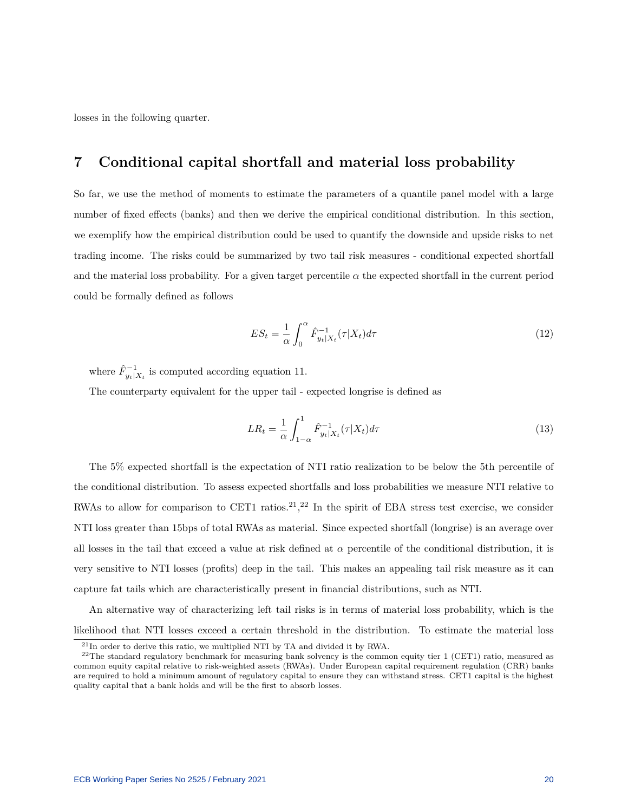losses in the following quarter.

## **7 Conditional capital shortfall and material loss probability**

So far, we use the method of moments to estimate the parameters of a quantile panel model with a large number of fixed effects (banks) and then we derive the empirical conditional distribution. In this section, we exemplify how the empirical distribution could be used to quantify the downside and upside risks to net trading income. The risks could be summarized by two tail risk measures - conditional expected shortfall and the material loss probability. For a given target percentile  $\alpha$  the expected shortfall in the current period could be formally defined as follows

$$
ES_t = \frac{1}{\alpha} \int_0^{\alpha} \hat{F}_{y_t|X_t}^{-1}(\tau|X_t)d\tau
$$
\n(12)

where  $\hat{F}_{y_t|X_t}^{-1}$  is computed according equation [11.](#page-19-0)

The counterparty equivalent for the upper tail - expected longrise is defined as

$$
LR_t = \frac{1}{\alpha} \int_{1-\alpha}^1 \hat{F}_{y_t|X_t}^{-1}(\tau|X_t) d\tau
$$
\n(13)

The 5% expected shortfall is the expectation of NTI ratio realization to be below the 5th percentile of the conditional distribution. To assess expected shortfalls and loss probabilities we measure NTI relative to RWAs to allow for comparison to CET1 ratios.<sup>[21](#page-20-0)</sup>,<sup>[22](#page-20-1)</sup> In the spirit of EBA stress test exercise, we consider NTI loss greater than 15bps of total RWAs as material. Since expected shortfall (longrise) is an average over all losses in the tail that exceed a value at risk defined at  $\alpha$  percentile of the conditional distribution, it is very sensitive to NTI losses (profits) deep in the tail. This makes an appealing tail risk measure as it can capture fat tails which are characteristically present in financial distributions, such as NTI.

An alternative way of characterizing left tail risks is in terms of material loss probability, which is the likelihood that NTI losses exceed a certain threshold in the distribution. To estimate the material loss

<span id="page-20-1"></span><span id="page-20-0"></span><sup>21</sup>In order to derive this ratio, we multiplied NTI by TA and divided it by RWA.

 $22$ The standard regulatory benchmark for measuring bank solvency is the common equity tier 1 (CET1) ratio, measured as common equity capital relative to risk-weighted assets (RWAs). Under European capital requirement regulation (CRR) banks are required to hold a minimum amount of regulatory capital to ensure they can withstand stress. CET1 capital is the highest quality capital that a bank holds and will be the first to absorb losses.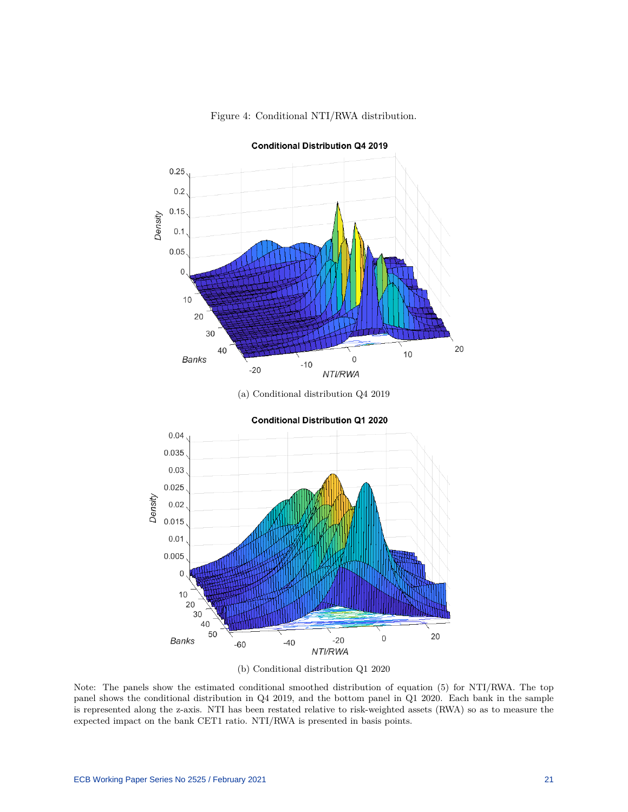<span id="page-21-0"></span>

#### Figure 4: Conditional NTI/RWA distribution.

(a) Conditional distribution Q4 2019





(b) Conditional distribution Q1 2020

Note: The panels show the estimated conditional smoothed distribution of equation (5) for NTI/RWA. The top panel shows the conditional distribution in Q4 2019, and the bottom panel in Q1 2020. Each bank in the sample is represented along the z-axis. NTI has been restated relative to risk-weighted assets (RWA) so as to measure the expected impact on the bank CET1 ratio. NTI/RWA is presented in basis points.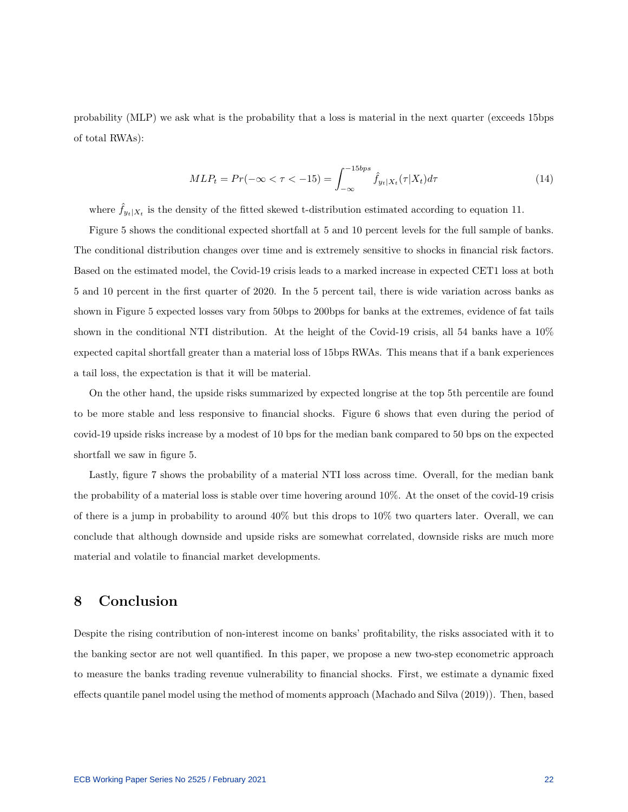probability (MLP) we ask what is the probability that a loss is material in the next quarter (exceeds 15bps of total RWAs):

$$
MLP_t = Pr(-\infty < \tau < -15) = \int_{-\infty}^{-15bps} \hat{f}_{y_t|X_t}(\tau|X_t)d\tau
$$
\n(14)

where  $\hat{f}_{y_t|X_t}$  is the density of the fitted skewed t-distribution estimated according to equation [11.](#page-19-0)

Figure [5](#page-23-0) shows the conditional expected shortfall at 5 and 10 percent levels for the full sample of banks. The conditional distribution changes over time and is extremely sensitive to shocks in financial risk factors. Based on the estimated model, the Covid-19 crisis leads to a marked increase in expected CET1 loss at both 5 and 10 percent in the first quarter of 2020. In the 5 percent tail, there is wide variation across banks as shown in Figure [5](#page-23-0) expected losses vary from 50bps to 200bps for banks at the extremes, evidence of fat tails shown in the conditional NTI distribution. At the height of the Covid-19 crisis, all 54 banks have a 10% expected capital shortfall greater than a material loss of 15bps RWAs. This means that if a bank experiences a tail loss, the expectation is that it will be material.

On the other hand, the upside risks summarized by expected longrise at the top 5th percentile are found to be more stable and less responsive to financial shocks. Figure [6](#page-24-0) shows that even during the period of covid-19 upside risks increase by a modest of 10 bps for the median bank compared to 50 bps on the expected shortfall we saw in figure [5.](#page-23-0)

Lastly, figure [7](#page-25-2) shows the probability of a material NTI loss across time. Overall, for the median bank the probability of a material loss is stable over time hovering around 10%. At the onset of the covid-19 crisis of there is a jump in probability to around 40% but this drops to 10% two quarters later. Overall, we can conclude that although downside and upside risks are somewhat correlated, downside risks are much more material and volatile to financial market developments.

## **8 Conclusion**

Despite the rising contribution of non-interest income on banks' profitability, the risks associated with it to the banking sector are not well quantified. In this paper, we propose a new two-step econometric approach to measure the banks trading revenue vulnerability to financial shocks. First, we estimate a dynamic fixed effects quantile panel model using the method of moments approach (Machado and Silv[a \(2019\)\)](#page-27-1). Then, based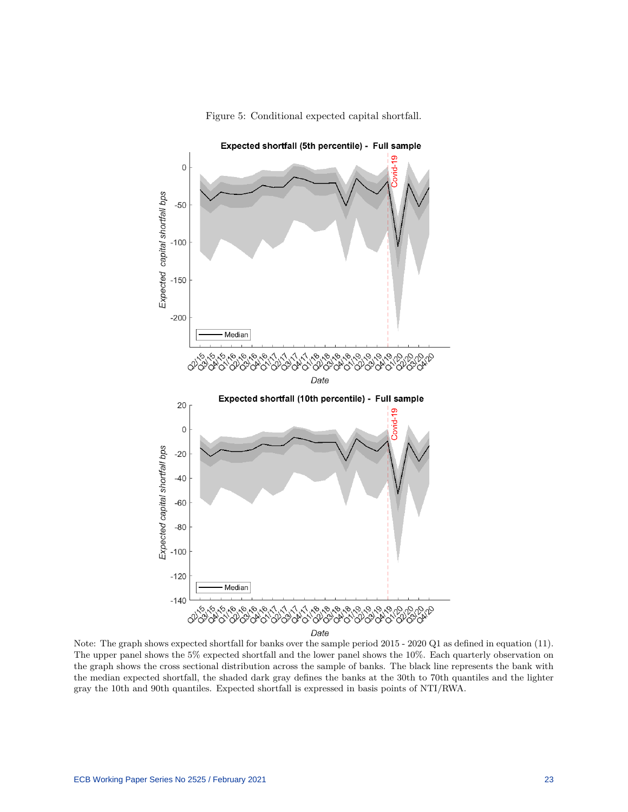<span id="page-23-0"></span>

Figure 5: Conditional expected capital shortfall.

Note: The graph shows expected shortfall for banks over the sample period 2015 - 2020 Q1 as defined in equation (11). The upper panel shows the 5% expected shortfall and the lower panel shows the 10%. Each quarterly observation on the graph shows the cross sectional distribution across the sample of banks. The black line represents the bank with the median expected shortfall, the shaded dark gray defines the banks at the 30th to 70th quantiles and the lighter gray the 10th and 90th quantiles. Expected shortfall is expressed in basis points of NTI/RWA.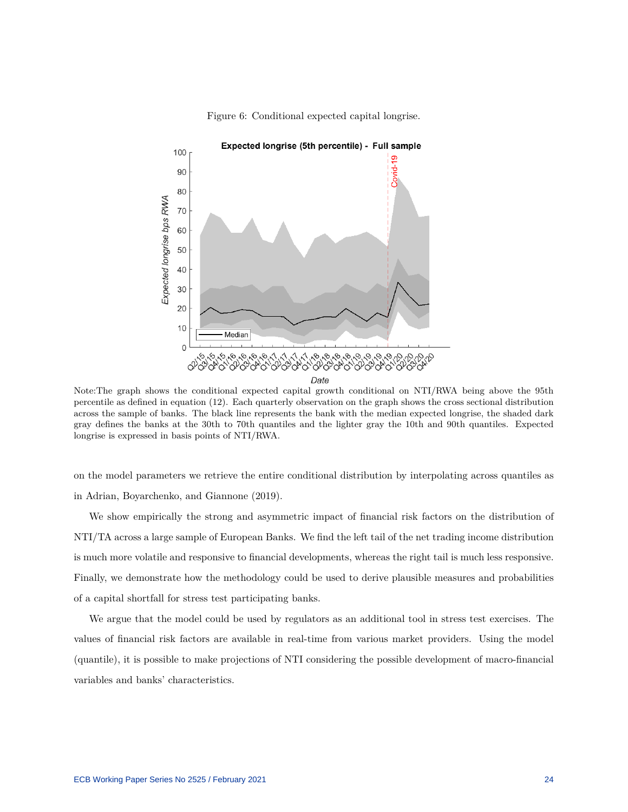<span id="page-24-0"></span>

#### Figure 6: Conditional expected capital longrise.

Note:The graph shows the conditional expected capital growth conditional on NTI/RWA being above the 95th percentile as defined in equation (12). Each quarterly observation on the graph shows the cross sectional distribution across the sample of banks. The black line represents the bank with the median expected longrise, the shaded dark gray defines the banks at the 30th to 70th quantiles and the lighter gray the 10th and 90th quantiles. Expected longrise is expressed in basis points of NTI/RWA.

on the model parameters we retrieve the entire conditional distribution by interpolating across quantiles as in Adrian, Boyarchenko, and Giannon[e \(2019\).](#page-26-5)

We show empirically the strong and asymmetric impact of financial risk factors on the distribution of NTI/TA across a large sample of European Banks. We find the left tail of the net trading income distribution is much more volatile and responsive to financial developments, whereas the right tail is much less responsive. Finally, we demonstrate how the methodology could be used to derive plausible measures and probabilities of a capital shortfall for stress test participating banks.

We argue that the model could be used by regulators as an additional tool in stress test exercises. The values of financial risk factors are available in real-time from various market providers. Using the model (quantile), it is possible to make projections of NTI considering the possible development of macro-financial variables and banks' characteristics.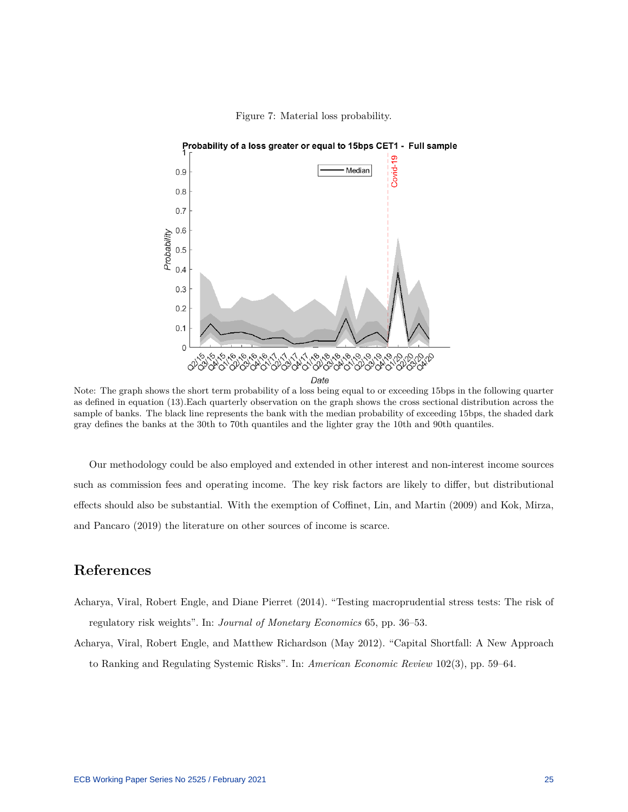<span id="page-25-2"></span>

#### Figure 7: Material loss probability.

Note: The graph shows the short term probability of a loss being equal to or exceeding 15bps in the following quarter as defined in equation (13).Each quarterly observation on the graph shows the cross sectional distribution across the sample of banks. The black line represents the bank with the median probability of exceeding 15bps, the shaded dark gray defines the banks at the 30th to 70th quantiles and the lighter gray the 10th and 90th quantiles.

Our methodology could be also employed and extended in other interest and non-interest income sources such as commission fees and operating income. The key risk factors are likely to differ, but distributional effects should also be substantial. With the exemption of Coffinet, Lin, and Marti[n \(2009\)](#page-26-3) and Kok, Mirza, and Pancar[o \(2019\)](#page-26-13) the literature on other sources of income is scarce.

## **References**

- <span id="page-25-1"></span>Acharya, Viral, Robert Engle, and Diane Pierret (2014). "Testing macroprudential stress tests: The risk of regulatory risk weights". In: *Journal of Monetary Economics* 65, pp. 36–53.
- <span id="page-25-0"></span>Acharya, Viral, Robert Engle, and Matthew Richardson (May 2012). "Capital Shortfall: A New Approach to Ranking and Regulating Systemic Risks". In: *American Economic Review* 102(3), pp. 59–64.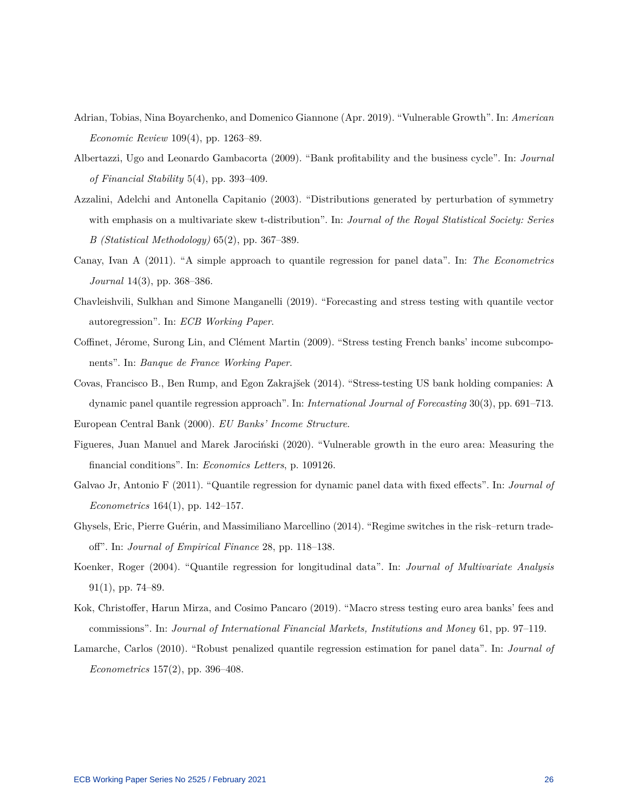- <span id="page-26-5"></span>Adrian, Tobias, Nina Boyarchenko, and Domenico Giannone (Apr. 2019). "Vulnerable Growth". In: *American Economic Review* 109(4), pp. 1263–89.
- <span id="page-26-2"></span>Albertazzi, Ugo and Leonardo Gambacorta (2009). "Bank profitability and the business cycle". In: *Journal of Financial Stability* 5(4), pp. 393–409.
- <span id="page-26-12"></span>Azzalini, Adelchi and Antonella Capitanio (2003). "Distributions generated by perturbation of symmetry with emphasis on a multivariate skew t-distribution". In: *Journal of the Royal Statistical Society: Series B (Statistical Methodology)* 65(2), pp. 367–389.
- <span id="page-26-10"></span>Canay, Ivan A (2011). "A simple approach to quantile regression for panel data". In: *The Econometrics Journal* 14(3), pp. 368–386.
- <span id="page-26-7"></span>Chavleishvili, Sulkhan and Simone Manganelli (2019). "Forecasting and stress testing with quantile vector autoregression". In: *ECB Working Paper*.
- <span id="page-26-3"></span>Coffinet, Jérome, Surong Lin, and Clément Martin (2009). "Stress testing French banks' income subcomponents". In: *Banque de France Working Paper*.
- <span id="page-26-0"></span>Covas, Francisco B., Ben Rump, and Egon Zakrajšek (2014). "Stress-testing US bank holding companies: A dynamic panel quantile regression approach". In: *International Journal of Forecasting* 30(3), pp. 691–713.

<span id="page-26-6"></span><span id="page-26-1"></span>European Central Bank (2000). *EU Banks' Income Structure*.

- Figueres, Juan Manuel and Marek Jarociński (2020). "Vulnerable growth in the euro area: Measuring the financial conditions". In: *Economics Letters*, p. 109126.
- <span id="page-26-11"></span>Galvao Jr, Antonio F (2011). "Quantile regression for dynamic panel data with fixed effects". In: *Journal of Econometrics* 164(1), pp. 142–157.
- <span id="page-26-4"></span>Ghysels, Eric, Pierre Guérin, and Massimiliano Marcellino (2014). "Regime switches in the risk–return tradeoff". In: *Journal of Empirical Finance* 28, pp. 118–138.
- <span id="page-26-8"></span>Koenker, Roger (2004). "Quantile regression for longitudinal data". In: *Journal of Multivariate Analysis* 91(1), pp. 74–89.
- <span id="page-26-13"></span>Kok, Christoffer, Harun Mirza, and Cosimo Pancaro (2019). "Macro stress testing euro area banks' fees and commissions". In: *Journal of International Financial Markets, Institutions and Money* 61, pp. 97–119.
- <span id="page-26-9"></span>Lamarche, Carlos (2010). "Robust penalized quantile regression estimation for panel data". In: *Journal of Econometrics* 157(2), pp. 396–408.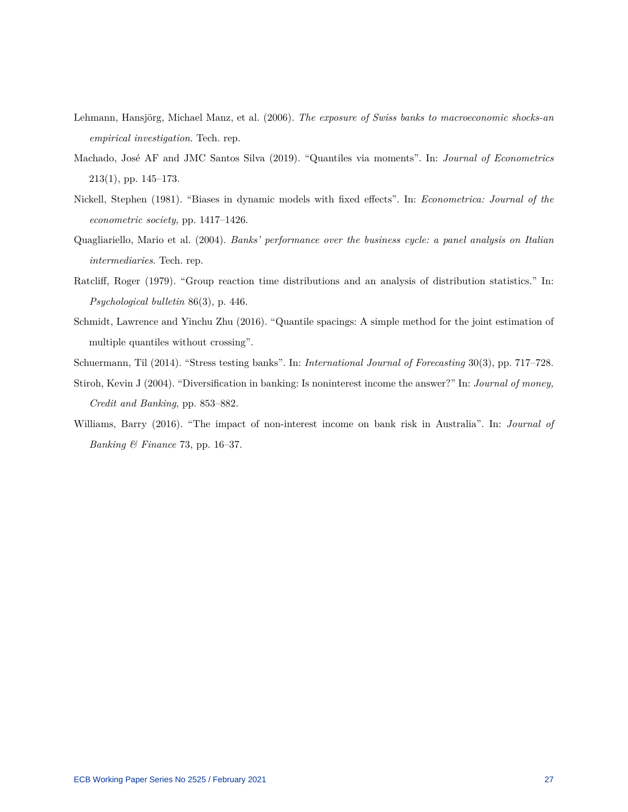- <span id="page-27-3"></span>Lehmann, Hansjörg, Michael Manz, et al. (2006). *The exposure of Swiss banks to macroeconomic shocks-an empirical investigation*. Tech. rep.
- <span id="page-27-1"></span>Machado, José AF and JMC Santos Silva (2019). "Quantiles via moments". In: *Journal of Econometrics* 213(1), pp. 145–173.
- <span id="page-27-7"></span>Nickell, Stephen (1981). "Biases in dynamic models with fixed effects". In: *Econometrica: Journal of the econometric society*, pp. 1417–1426.
- <span id="page-27-5"></span>Quagliariello, Mario et al. (2004). *Banks' performance over the business cycle: a panel analysis on Italian intermediaries*. Tech. rep.
- <span id="page-27-8"></span>Ratcliff, Roger (1979). "Group reaction time distributions and an analysis of distribution statistics." In: *Psychological bulletin* 86(3), p. 446.
- <span id="page-27-6"></span>Schmidt, Lawrence and Yinchu Zhu (2016). "Quantile spacings: A simple method for the joint estimation of multiple quantiles without crossing".
- <span id="page-27-4"></span>Schuermann, Til (2014). "Stress testing banks". In: *International Journal of Forecasting* 30(3), pp. 717–728.
- <span id="page-27-2"></span>Stiroh, Kevin J (2004). "Diversification in banking: Is noninterest income the answer?" In: *Journal of money, Credit and Banking*, pp. 853–882.
- <span id="page-27-0"></span>Williams, Barry (2016). "The impact of non-interest income on bank risk in Australia". In: *Journal of Banking & Finance* 73, pp. 16–37.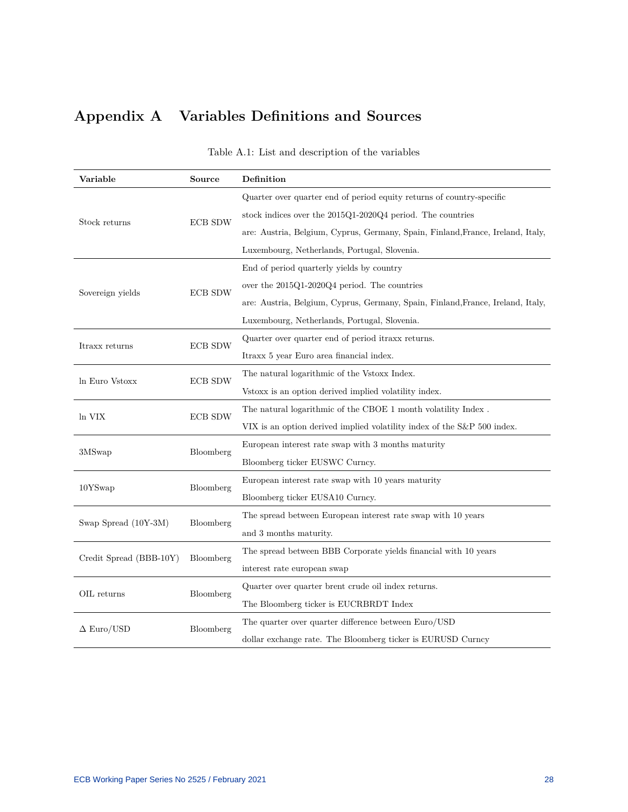# **Appendix A Variables Definitions and Sources**

<span id="page-28-0"></span>

| Variable                | Source         | Definition                                                                      |  |  |  |  |
|-------------------------|----------------|---------------------------------------------------------------------------------|--|--|--|--|
|                         |                | Quarter over quarter end of period equity returns of country-specific           |  |  |  |  |
| Stock returns           | <b>ECB SDW</b> | stock indices over the 2015Q1-2020Q4 period. The countries                      |  |  |  |  |
|                         |                | are: Austria, Belgium, Cyprus, Germany, Spain, Finland, France, Ireland, Italy, |  |  |  |  |
|                         |                | Luxembourg, Netherlands, Portugal, Slovenia.                                    |  |  |  |  |
|                         |                | End of period quarterly yields by country                                       |  |  |  |  |
| Sovereign yields        | <b>ECB SDW</b> | over the $2015Q1-2020Q4$ period. The countries                                  |  |  |  |  |
|                         |                | are: Austria, Belgium, Cyprus, Germany, Spain, Finland, France, Ireland, Italy, |  |  |  |  |
|                         |                | Luxembourg, Netherlands, Portugal, Slovenia.                                    |  |  |  |  |
| Itraxx returns          | <b>ECB SDW</b> | Quarter over quarter end of period it raxis returns.                            |  |  |  |  |
|                         |                | Itraxx 5 year Euro area financial index.                                        |  |  |  |  |
| In Euro Vstoxx          | <b>ECB SDW</b> | The natural logarithmic of the Vstoxx Index.                                    |  |  |  |  |
|                         |                | Vstoxx is an option derived implied volatility index.                           |  |  |  |  |
| ln VIX                  | <b>ECB SDW</b> | The natural logarithmic of the CBOE 1 month volatility Index.                   |  |  |  |  |
|                         |                | VIX is an option derived implied volatility index of the S&P 500 index.         |  |  |  |  |
| 3MSwap                  | Bloomberg      | European interest rate swap with 3 months maturity                              |  |  |  |  |
|                         |                | Bloomberg ticker EUSWC Curncy.                                                  |  |  |  |  |
| 10YSwap                 | Bloomberg      | European interest rate swap with 10 years maturity                              |  |  |  |  |
|                         |                | Bloomberg ticker EUSA10 Curncy.                                                 |  |  |  |  |
| Swap Spread (10Y-3M)    |                | The spread between European interest rate swap with 10 years                    |  |  |  |  |
|                         | Bloomberg      | and 3 months maturity.                                                          |  |  |  |  |
|                         | Bloomberg      | The spread between BBB Corporate yields financial with 10 years                 |  |  |  |  |
| Credit Spread (BBB-10Y) |                | interest rate european swap                                                     |  |  |  |  |
|                         | Bloomberg      | Quarter over quarter brent crude oil index returns.                             |  |  |  |  |
| OIL returns             |                | The Bloomberg ticker is EUCRBRDT Index                                          |  |  |  |  |
| $\Delta$ Euro/USD       | Bloomberg      | The quarter over quarter difference between Euro/USD                            |  |  |  |  |
|                         |                | dollar exchange rate. The Bloomberg ticker is EURUSD Curncy                     |  |  |  |  |

## Table A.1: List and description of the variables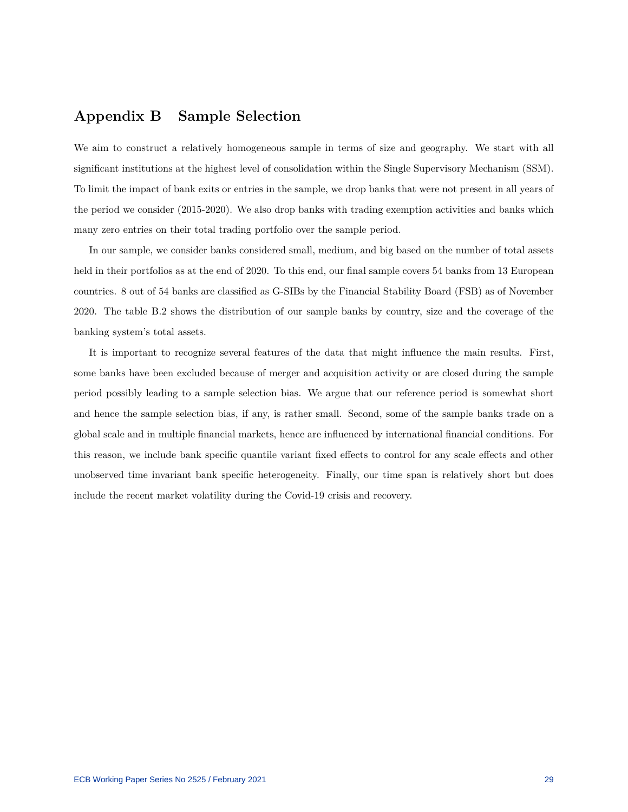## **Appendix B Sample Selection**

We aim to construct a relatively homogeneous sample in terms of size and geography. We start with all significant institutions at the highest level of consolidation within the Single Supervisory Mechanism (SSM). To limit the impact of bank exits or entries in the sample, we drop banks that were not present in all years of the period we consider (2015-2020). We also drop banks with trading exemption activities and banks which many zero entries on their total trading portfolio over the sample period.

In our sample, we consider banks considered small, medium, and big based on the number of total assets held in their portfolios as at the end of 2020. To this end, our final sample covers 54 banks from 13 European countries. 8 out of 54 banks are classified as G-SIBs by the Financial Stability Board (FSB) as of November 2020. The table [B.2](#page-30-0) shows the distribution of our sample banks by country, size and the coverage of the banking system's total assets.

It is important to recognize several features of the data that might influence the main results. First, some banks have been excluded because of merger and acquisition activity or are closed during the sample period possibly leading to a sample selection bias. We argue that our reference period is somewhat short and hence the sample selection bias, if any, is rather small. Second, some of the sample banks trade on a global scale and in multiple financial markets, hence are influenced by international financial conditions. For this reason, we include bank specific quantile variant fixed effects to control for any scale effects and other unobserved time invariant bank specific heterogeneity. Finally, our time span is relatively short but does include the recent market volatility during the Covid-19 crisis and recovery.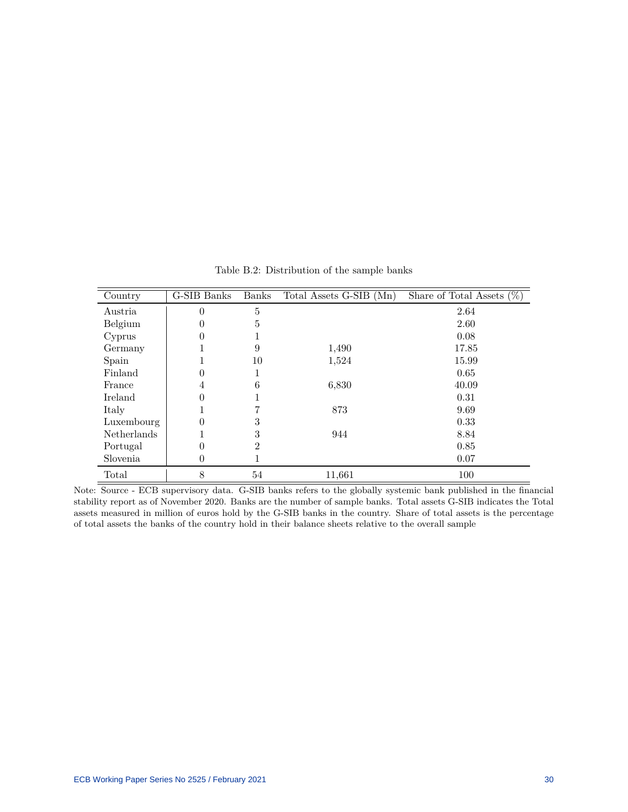<span id="page-30-0"></span>

| Country     | G-SIB Banks | <b>Banks</b> | Total Assets G-SIB (Mn) | Share of Total Assets $(\%)$ |
|-------------|-------------|--------------|-------------------------|------------------------------|
| Austria     | $\theta$    | 5            |                         | 2.64                         |
| Belgium     | $\theta$    | 5            |                         | 2.60                         |
| Cyprus      |             |              |                         | 0.08                         |
| Germany     |             | 9            | 1,490                   | 17.85                        |
| Spain       |             | 10           | 1,524                   | 15.99                        |
| Finland     | 0           |              |                         | 0.65                         |
| France      | 4           | 6            | 6,830                   | 40.09                        |
| Ireland     | 0           |              |                         | 0.31                         |
| Italy       |             |              | 873                     | 9.69                         |
| Luxembourg  | 0           | 3            |                         | 0.33                         |
| Netherlands |             | 3            | 944                     | 8.84                         |
| Portugal    | 0           | 2            |                         | 0.85                         |
| Slovenia    | 0           |              |                         | 0.07                         |
| Total       | 8           | 54           | 11,661                  | 100                          |

Table B.2: Distribution of the sample banks

Note: Source - ECB supervisory data. G-SIB banks refers to the globally systemic bank published in the financial stability report as of November 2020. Banks are the number of sample banks. Total assets G-SIB indicates the Total assets measured in million of euros hold by the G-SIB banks in the country. Share of total assets is the percentage of total assets the banks of the country hold in their balance sheets relative to the overall sample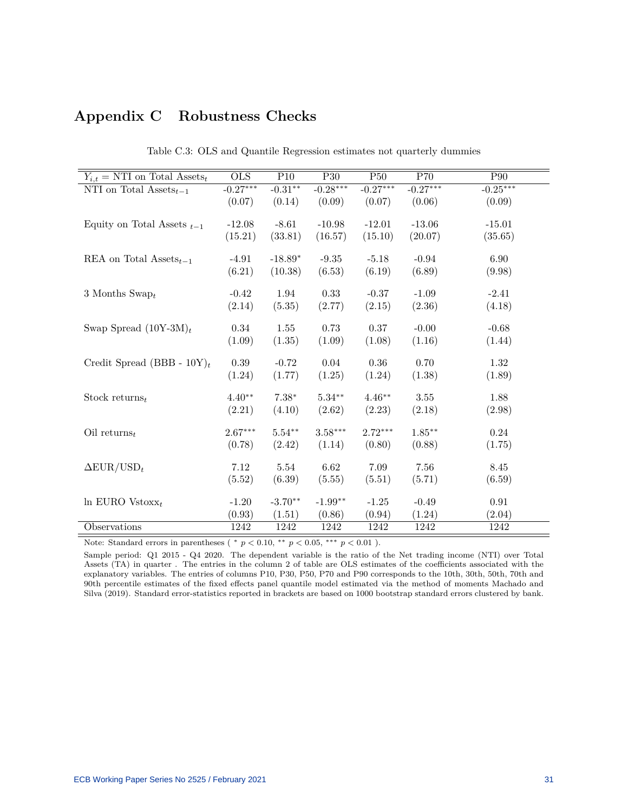## <span id="page-31-0"></span>**Appendix C Robustness Checks**

<span id="page-31-1"></span>

| $Y_{i,t} = \text{NTI}$ on Total Assets <sub>t</sub> | <b>OLS</b> | P10        | P <sub>30</sub> | P50        | P70        | P <sub>90</sub> |
|-----------------------------------------------------|------------|------------|-----------------|------------|------------|-----------------|
| NTI on Total $\overline{\mathrm{Assets}}_{t-1}$     | $-0.27***$ | $-0.31***$ | $-0.28***$      | $-0.27***$ | $-0.27***$ | $-0.25***$      |
|                                                     | (0.07)     | (0.14)     | (0.09)          | (0.07)     | (0.06)     | (0.09)          |
|                                                     |            |            |                 |            |            |                 |
| Equity on Total Assets $_{t-1}$                     | $-12.08$   | $-8.61$    | $-10.98$        | $-12.01$   | $-13.06$   | $-15.01$        |
|                                                     | (15.21)    | (33.81)    | (16.57)         | (15.10)    | (20.07)    | (35.65)         |
| REA on Total Assets <sub>t-1</sub>                  | $-4.91$    | $-18.89*$  | $-9.35$         | $-5.18$    | $-0.94$    | 6.90            |
|                                                     | (6.21)     | (10.38)    | (6.53)          | (6.19)     | (6.89)     | (9.98)          |
|                                                     |            |            |                 |            |            |                 |
| 3 Months Swap <sub>t</sub>                          | $-0.42$    | 1.94       | 0.33            | $-0.37$    | $-1.09$    | $-2.41$         |
|                                                     | (2.14)     | (5.35)     | (2.77)          | (2.15)     | (2.36)     | (4.18)          |
|                                                     |            |            |                 |            |            |                 |
| Swap Spread $(10Y-3M)_t$                            | 0.34       | 1.55       | 0.73            | 0.37       | $-0.00$    | $-0.68$         |
|                                                     | (1.09)     | (1.35)     | (1.09)          | (1.08)     | (1.16)     | (1.44)          |
|                                                     |            |            |                 |            |            |                 |
| Credit Spread (BBB - $10Y_t$ )                      | $0.39\,$   | $-0.72$    | 0.04            | $0.36\,$   | 0.70       | 1.32            |
|                                                     | (1.24)     | (1.77)     | (1.25)          | (1.24)     | (1.38)     | (1.89)          |
| Stock returns $_t$                                  | $4.40**$   | $7.38*$    | $5.34**$        | $4.46**$   | 3.55       | 1.88            |
|                                                     | (2.21)     | (4.10)     | (2.62)          | (2.23)     | (2.18)     | (2.98)          |
|                                                     |            |            |                 |            |            |                 |
| Oil returns $_t$                                    | $2.67***$  | $5.54***$  | $3.58***$       | $2.72***$  | $1.85***$  | 0.24            |
|                                                     | (0.78)     | (2.42)     | (1.14)          | (0.80)     | (0.88)     | (1.75)          |
|                                                     |            |            |                 |            |            |                 |
| $\Delta$ EUR/USD <sub>t</sub>                       | 7.12       | 5.54       | 6.62            | 7.09       | 7.56       | 8.45            |
|                                                     | (5.52)     | (6.39)     | (5.55)          | (5.51)     | (5.71)     | (6.59)          |
|                                                     |            |            |                 |            |            |                 |
| In EURO Vstox $x_t$                                 | $-1.20$    | $-3.70**$  | $-1.99**$       | $-1.25$    | $-0.49$    | $\rm 0.91$      |
|                                                     | (0.93)     | (1.51)     | (0.86)          | (0.94)     | (1.24)     | (2.04)          |
| Observations                                        | 1242       | 1242       | 1242            | 1242       | 1242       | 1242            |

Table C.3: OLS and Quantile Regression estimates not quarterly dummies

Note: Standard errors in parentheses (  $*$   $p < 0.10$ ,  $**$   $p < 0.05$ ,  $**$   $p < 0.01$ ).

Sample period: Q1 2015 - Q4 2020. The dependent variable is the ratio of the Net trading income (NTI) over Total Assets (TA) in quarter . The entries in the column 2 of table are OLS estimates of the coefficients associated with the explanatory variables. The entries of columns P10, P30, P50, P70 and P90 corresponds to the 10th, 30th, 50th, 70th and 90th percentile estimates of the fixed effects panel quantile model estimated via the method of moments Machado and Silv[a \(2019\).](#page-27-1) Standard error-statistics reported in brackets are based on 1000 bootstrap standard errors clustered by bank.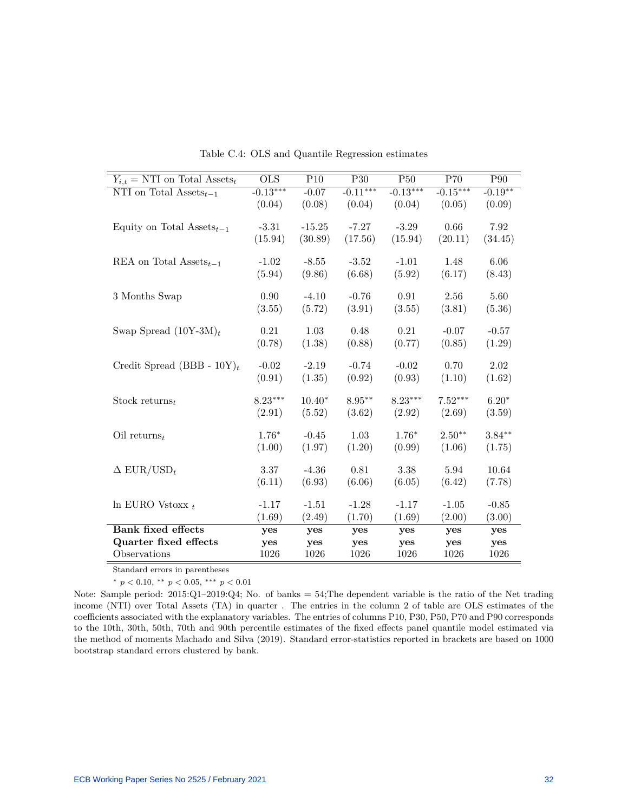<span id="page-32-0"></span>

| $Y_{i,t}$ = NTI on Total Assets <sub>t</sub>       | <b>OLS</b> | P10      | P <sub>30</sub> | P <sub>50</sub> | P70        | P90       |
|----------------------------------------------------|------------|----------|-----------------|-----------------|------------|-----------|
| NTI on Total $\text{Assets}_{t-1}$                 | $-0.13***$ | $-0.07$  | $-0.11***$      | $-0.13***$      | $-0.15***$ | $-0.19**$ |
|                                                    | (0.04)     | (0.08)   | (0.04)          | (0.04)          | (0.05)     | (0.09)    |
|                                                    |            |          |                 |                 |            |           |
| Equity on Total Assets <sub><math>t-1</math></sub> | $-3.31$    | $-15.25$ | $-7.27$         | $-3.29$         | 0.66       | 7.92      |
|                                                    | (15.94)    | (30.89)  | (17.56)         | (15.94)         | (20.11)    | (34.45)   |
|                                                    |            |          |                 |                 |            |           |
| REA on Total Assets <sub>t-1</sub>                 | $-1.02$    | $-8.55$  | $-3.52$         | $-1.01$         | 1.48       | 6.06      |
|                                                    | (5.94)     | (9.86)   | (6.68)          | (5.92)          | (6.17)     | (8.43)    |
|                                                    |            |          |                 |                 |            |           |
| 3 Months Swap                                      | 0.90       | $-4.10$  | $-0.76$         | 0.91            | 2.56       | 5.60      |
|                                                    | (3.55)     | (5.72)   | (3.91)          | (3.55)          | (3.81)     | (5.36)    |
|                                                    |            |          |                 |                 |            |           |
| Swap Spread $(10Y-3M)_t$                           | 0.21       | 1.03     | 0.48            | 0.21            | $-0.07$    | $-0.57$   |
|                                                    | (0.78)     | (1.38)   | (0.88)          | (0.77)          | (0.85)     | (1.29)    |
|                                                    |            |          |                 |                 |            |           |
| Credit Spread (BBB - $10Y_t$ )                     | $-0.02$    | $-2.19$  | $-0.74$         | $-0.02$         | 0.70       | 2.02      |
|                                                    | (0.91)     | (1.35)   | (0.92)          | (0.93)          | (1.10)     | (1.62)    |
|                                                    |            |          |                 |                 |            |           |
| Stock returns $_t$                                 | $8.23***$  | $10.40*$ | $8.95**$        | $8.23***$       | $7.52***$  | $6.20*$   |
|                                                    | (2.91)     | (5.52)   | (3.62)          | (2.92)          | (2.69)     | (3.59)    |
|                                                    |            |          |                 |                 |            |           |
| Oil returns <sub>t</sub>                           | $1.76*$    | $-0.45$  | 1.03            | $1.76*$         | $2.50**$   | $3.84***$ |
|                                                    | (1.00)     | (1.97)   | (1.20)          | (0.99)          | (1.06)     | (1.75)    |
|                                                    |            |          |                 |                 | 5.94       |           |
| $\Delta$ EUR/USD <sub>t</sub>                      | $3.37\,$   | $-4.36$  | $\rm 0.81$      | $3.38\,$        |            | 10.64     |
|                                                    | (6.11)     | (6.93)   | (6.06)          | (6.05)          | (6.42)     | (7.78)    |
| $\ln$ EURO Vstoxx $_t$                             | $-1.17$    | $-1.51$  | $-1.28$         | $-1.17$         | $-1.05$    | $-0.85$   |
|                                                    | (1.69)     | (2.49)   | (1.70)          | (1.69)          | (2.00)     | (3.00)    |
| <b>Bank fixed effects</b>                          |            |          |                 |                 |            |           |
|                                                    | yes        | yes      | yes             | yes             | yes        | yes       |
| Quarter fixed effects                              | yes        | yes      | yes             | yes             | yes        | yes       |
| Observations                                       | 1026       | 1026     | 1026            | 1026            | 1026       | 1026      |

Table C.4: OLS and Quantile Regression estimates

Standard errors in parentheses

<sup>∗</sup> *p <* 0*.*10, ∗∗ *p <* 0*.*05, ∗∗∗ *p <* 0*.*01

Note: Sample period: 2015:Q1–2019:Q4; No. of banks = 54;The dependent variable is the ratio of the Net trading income (NTI) over Total Assets (TA) in quarter . The entries in the column 2 of table are OLS estimates of the coefficients associated with the explanatory variables. The entries of columns P10, P30, P50, P70 and P90 corresponds to the 10th, 30th, 50th, 70th and 90th percentile estimates of the fixed effects panel quantile model estimated via the method of moments Machado and Silv[a \(2019\).](#page-27-1) Standard error-statistics reported in brackets are based on 1000 bootstrap standard errors clustered by bank.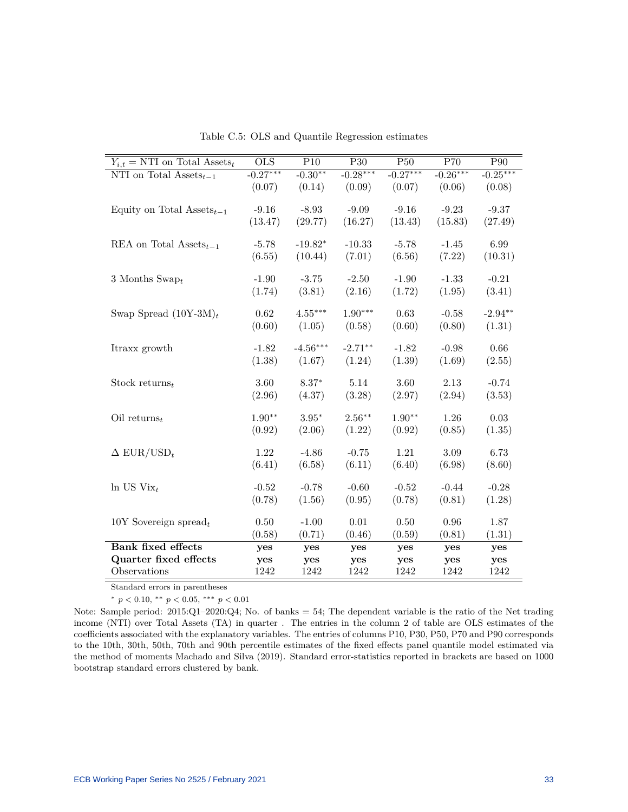<span id="page-33-0"></span>

| $Y_{i,t}$ = NTI on Total Assets <sub>t</sub>       | <b>OLS</b> | P10        | P30        | $\overline{P50}$ | P70        | $\overline{P90}$ |
|----------------------------------------------------|------------|------------|------------|------------------|------------|------------------|
| NTI on Total $\text{Assets}_{t-1}$                 | $-0.27***$ | $-0.30**$  | $-0.28***$ | $-0.27***$       | $-0.26***$ | $-0.25***$       |
|                                                    | (0.07)     | (0.14)     | (0.09)     | (0.07)           | (0.06)     | (0.08)           |
|                                                    |            |            |            |                  |            |                  |
| Equity on Total Assets <sub><math>t-1</math></sub> | $-9.16$    | $-8.93$    | $-9.09$    | $-9.16$          | $-9.23$    | $-9.37$          |
|                                                    | (13.47)    | (29.77)    | (16.27)    | (13.43)          | (15.83)    | (27.49)          |
| REA on Total Assets <sub>t-1</sub>                 | $-5.78$    | $-19.82*$  | $-10.33$   | $-5.78$          | $-1.45$    | 6.99             |
|                                                    | (6.55)     | (10.44)    | (7.01)     | (6.56)           | (7.22)     | (10.31)          |
|                                                    |            |            |            |                  |            |                  |
| 3 Months Swap $_t$                                 | $-1.90$    | $-3.75$    | $-2.50$    | $-1.90$          | $-1.33$    | $-0.21$          |
|                                                    | (1.74)     | (3.81)     | (2.16)     | (1.72)           | (1.95)     | (3.41)           |
|                                                    |            |            |            |                  |            |                  |
| Swap Spread $(10Y-3M)_t$                           | 0.62       | $4.55***$  | $1.90***$  | 0.63             | $-0.58$    | $-2.94**$        |
|                                                    | (0.60)     | (1.05)     | (0.58)     | (0.60)           | (0.80)     | (1.31)           |
| Itraxx growth                                      | $-1.82$    | $-4.56***$ | $-2.71**$  | $-1.82$          | $-0.98$    | 0.66             |
|                                                    | (1.38)     | (1.67)     | (1.24)     | (1.39)           | (1.69)     | (2.55)           |
|                                                    |            |            |            |                  |            |                  |
| Stock returns $_t$                                 | 3.60       | $8.37*$    | 5.14       | 3.60             | 2.13       | $-0.74$          |
|                                                    | (2.96)     | (4.37)     | (3.28)     | (2.97)           | (2.94)     | (3.53)           |
|                                                    |            |            |            |                  |            |                  |
| Oil returns $_t$                                   | $1.90**$   | $3.95*$    | $2.56***$  | $1.90**$         | 1.26       | $0.03\,$         |
|                                                    | (0.92)     | (2.06)     | (1.22)     | (0.92)           | (0.85)     | (1.35)           |
| $\Delta$ EUR/USD <sub>t</sub>                      | 1.22       | $-4.86$    | $-0.75$    | 1.21             | 3.09       | 6.73             |
|                                                    | (6.41)     | (6.58)     | (6.11)     | (6.40)           | (6.98)     | (8.60)           |
|                                                    |            |            |            |                  |            |                  |
| $\ln$ US Vix <sub>t</sub>                          | $-0.52$    | $-0.78$    | $-0.60$    | $-0.52$          | $-0.44$    | $-0.28$          |
|                                                    | (0.78)     | (1.56)     | (0.95)     | (0.78)           | (0.81)     | (1.28)           |
|                                                    |            |            |            |                  |            |                  |
| 10Y Sovereign spread $_t$                          | $0.50\,$   | $-1.00$    | 0.01       | 0.50             | 0.96       | 1.87             |
|                                                    | (0.58)     | (0.71)     | (0.46)     | (0.59)           | (0.81)     | (1.31)           |
| <b>Bank fixed effects</b>                          | yes        | yes        | yes        | yes              | yes        | yes              |
| Quarter fixed effects                              | yes        | yes        | yes        | yes              | yes        | yes              |
| Observations                                       | 1242       | 1242       | 1242       | 1242             | 1242       | 1242             |

Table C.5: OLS and Quantile Regression estimates

Standard errors in parentheses

<sup>∗</sup> *p <* 0*.*10, ∗∗ *p <* 0*.*05, ∗∗∗ *p <* 0*.*01

Note: Sample period: 2015:Q1–2020:Q4; No. of banks = 54; The dependent variable is the ratio of the Net trading income (NTI) over Total Assets (TA) in quarter . The entries in the column 2 of table are OLS estimates of the coefficients associated with the explanatory variables. The entries of columns P10, P30, P50, P70 and P90 corresponds to the 10th, 30th, 50th, 70th and 90th percentile estimates of the fixed effects panel quantile model estimated via the method of moments Machado and Silv[a \(2019\).](#page-27-1) Standard error-statistics reported in brackets are based on 1000 bootstrap standard errors clustered by bank.